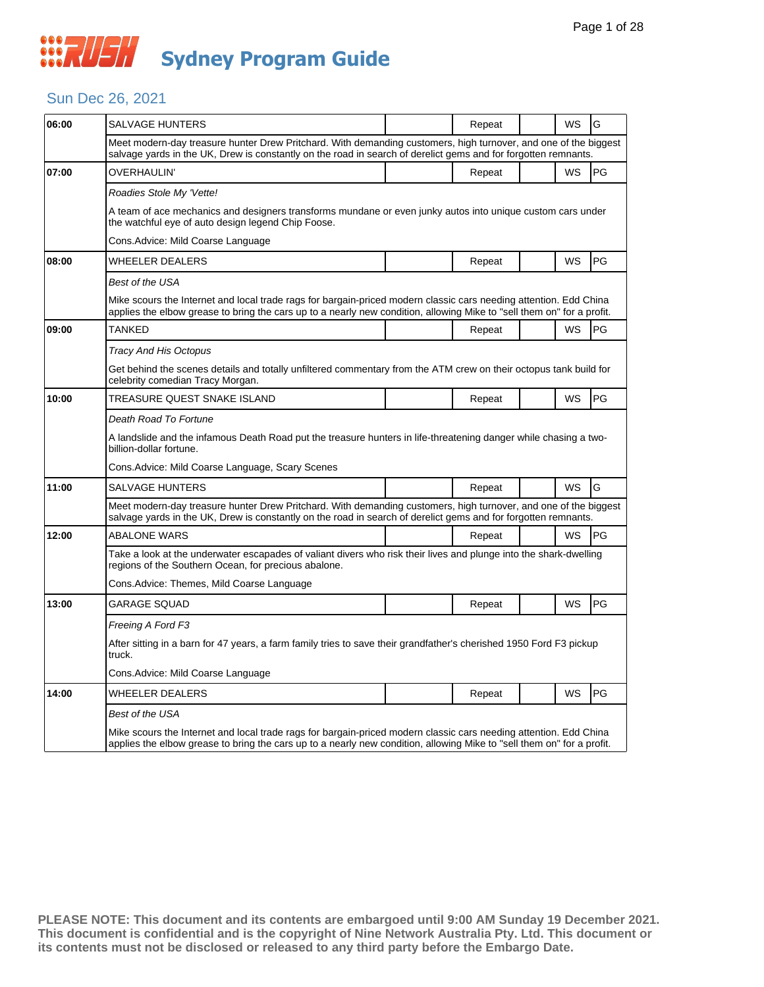#### Sun Dec 26, 2021

| 06:00 | SALVAGE HUNTERS                                                                                                                                                                                                                             |  | Repeat |  | WS        | G  |  |  |  |
|-------|---------------------------------------------------------------------------------------------------------------------------------------------------------------------------------------------------------------------------------------------|--|--------|--|-----------|----|--|--|--|
|       | Meet modern-day treasure hunter Drew Pritchard. With demanding customers, high turnover, and one of the biggest<br>salvage yards in the UK, Drew is constantly on the road in search of derelict gems and for forgotten remnants.           |  |        |  |           |    |  |  |  |
| 07:00 | <b>OVERHAULIN'</b>                                                                                                                                                                                                                          |  | Repeat |  | WS        | PG |  |  |  |
|       | Roadies Stole My 'Vette!                                                                                                                                                                                                                    |  |        |  |           |    |  |  |  |
|       | A team of ace mechanics and designers transforms mundane or even junky autos into unique custom cars under<br>the watchful eye of auto design legend Chip Foose.                                                                            |  |        |  |           |    |  |  |  |
|       | Cons.Advice: Mild Coarse Language                                                                                                                                                                                                           |  |        |  |           |    |  |  |  |
| 08:00 | <b>WHEELER DEALERS</b>                                                                                                                                                                                                                      |  | Repeat |  | WS        | PG |  |  |  |
|       | Best of the USA                                                                                                                                                                                                                             |  |        |  |           |    |  |  |  |
|       | Mike scours the Internet and local trade rags for bargain-priced modern classic cars needing attention. Edd China<br>applies the elbow grease to bring the cars up to a nearly new condition, allowing Mike to "sell them on" for a profit. |  |        |  |           |    |  |  |  |
| 09:00 | TANKED                                                                                                                                                                                                                                      |  | Repeat |  | WS        | PG |  |  |  |
|       | Tracy And His Octopus                                                                                                                                                                                                                       |  |        |  |           |    |  |  |  |
|       | Get behind the scenes details and totally unfiltered commentary from the ATM crew on their octopus tank build for<br>celebrity comedian Tracy Morgan.                                                                                       |  |        |  |           |    |  |  |  |
| 10:00 | TREASURE QUEST SNAKE ISLAND                                                                                                                                                                                                                 |  | Repeat |  | WS        | PG |  |  |  |
|       | Death Road To Fortune                                                                                                                                                                                                                       |  |        |  |           |    |  |  |  |
|       | A landslide and the infamous Death Road put the treasure hunters in life-threatening danger while chasing a two-<br>billion-dollar fortune.                                                                                                 |  |        |  |           |    |  |  |  |
|       | Cons.Advice: Mild Coarse Language, Scary Scenes                                                                                                                                                                                             |  |        |  |           |    |  |  |  |
| 11:00 | <b>SALVAGE HUNTERS</b>                                                                                                                                                                                                                      |  | Repeat |  | <b>WS</b> | G  |  |  |  |
|       | Meet modern-day treasure hunter Drew Pritchard. With demanding customers, high turnover, and one of the biggest<br>salvage yards in the UK, Drew is constantly on the road in search of derelict gems and for forgotten remnants.           |  |        |  |           |    |  |  |  |
| 12:00 | <b>ABALONE WARS</b>                                                                                                                                                                                                                         |  | Repeat |  | <b>WS</b> | PG |  |  |  |
|       | Take a look at the underwater escapades of valiant divers who risk their lives and plunge into the shark-dwelling<br>regions of the Southern Ocean, for precious abalone.                                                                   |  |        |  |           |    |  |  |  |
|       | Cons.Advice: Themes, Mild Coarse Language                                                                                                                                                                                                   |  |        |  |           |    |  |  |  |
| 13:00 | <b>GARAGE SQUAD</b>                                                                                                                                                                                                                         |  | Repeat |  | WS        | PG |  |  |  |
|       | Freeing A Ford F3                                                                                                                                                                                                                           |  |        |  |           |    |  |  |  |
|       | After sitting in a barn for 47 years, a farm family tries to save their grandfather's cherished 1950 Ford F3 pickup<br>truck.                                                                                                               |  |        |  |           |    |  |  |  |
|       | Cons.Advice: Mild Coarse Language                                                                                                                                                                                                           |  |        |  |           |    |  |  |  |
| 14:00 | WHEELER DEALERS                                                                                                                                                                                                                             |  | Repeat |  | WS        | PG |  |  |  |
|       | Best of the USA                                                                                                                                                                                                                             |  |        |  |           |    |  |  |  |
|       | Mike scours the Internet and local trade rags for bargain-priced modern classic cars needing attention. Edd China<br>applies the elbow grease to bring the cars up to a nearly new condition, allowing Mike to "sell them on" for a profit. |  |        |  |           |    |  |  |  |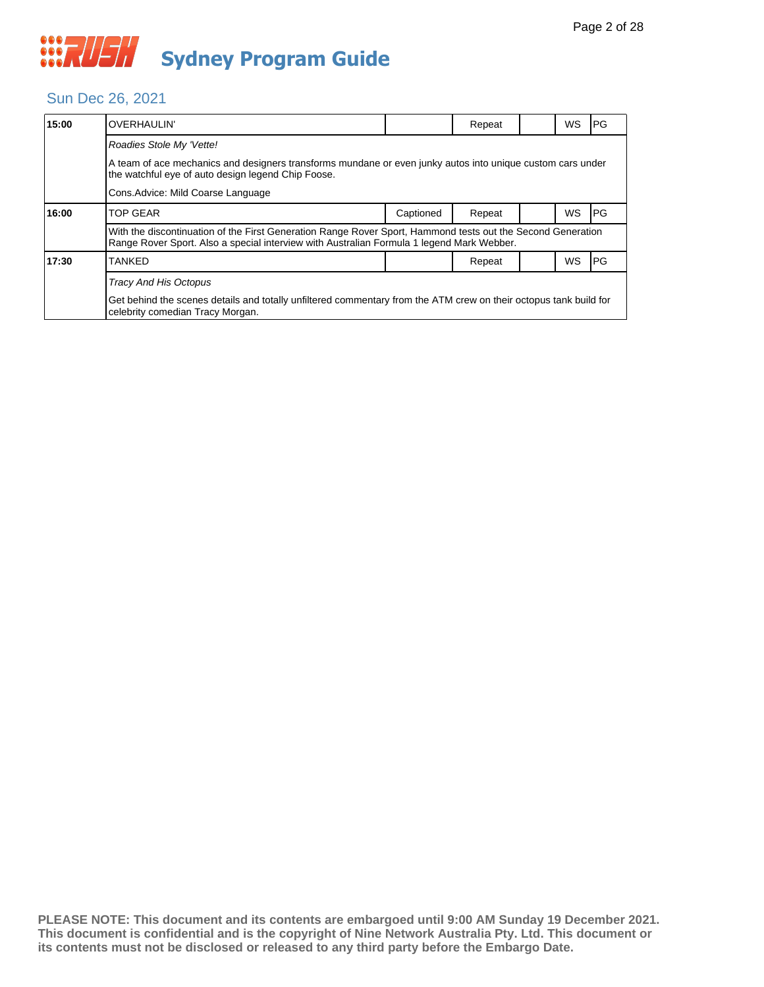#### Sun Dec 26, 2021

| 15:00 | <b>OVERHAULIN'</b>                                                                                                                                                                                       |           | Repeat |  | WS | PG |  |  |
|-------|----------------------------------------------------------------------------------------------------------------------------------------------------------------------------------------------------------|-----------|--------|--|----|----|--|--|
|       | Roadies Stole My 'Vette!                                                                                                                                                                                 |           |        |  |    |    |  |  |
|       | A team of ace mechanics and designers transforms mundane or even junky autos into unique custom cars under<br>the watchful eye of auto design legend Chip Foose.                                         |           |        |  |    |    |  |  |
|       | Cons. Advice: Mild Coarse Language                                                                                                                                                                       |           |        |  |    |    |  |  |
| 16:00 | <b>TOP GEAR</b>                                                                                                                                                                                          | Captioned | Repeat |  | WS | PG |  |  |
|       | With the discontinuation of the First Generation Range Rover Sport, Hammond tests out the Second Generation<br>Range Rover Sport. Also a special interview with Australian Formula 1 legend Mark Webber. |           |        |  |    |    |  |  |
| 17:30 | <b>TANKED</b>                                                                                                                                                                                            |           | Repeat |  | WS | PG |  |  |
|       | <b>Tracy And His Octopus</b>                                                                                                                                                                             |           |        |  |    |    |  |  |
|       | Get behind the scenes details and totally unfiltered commentary from the ATM crew on their octopus tank build for<br>celebrity comedian Tracy Morgan.                                                    |           |        |  |    |    |  |  |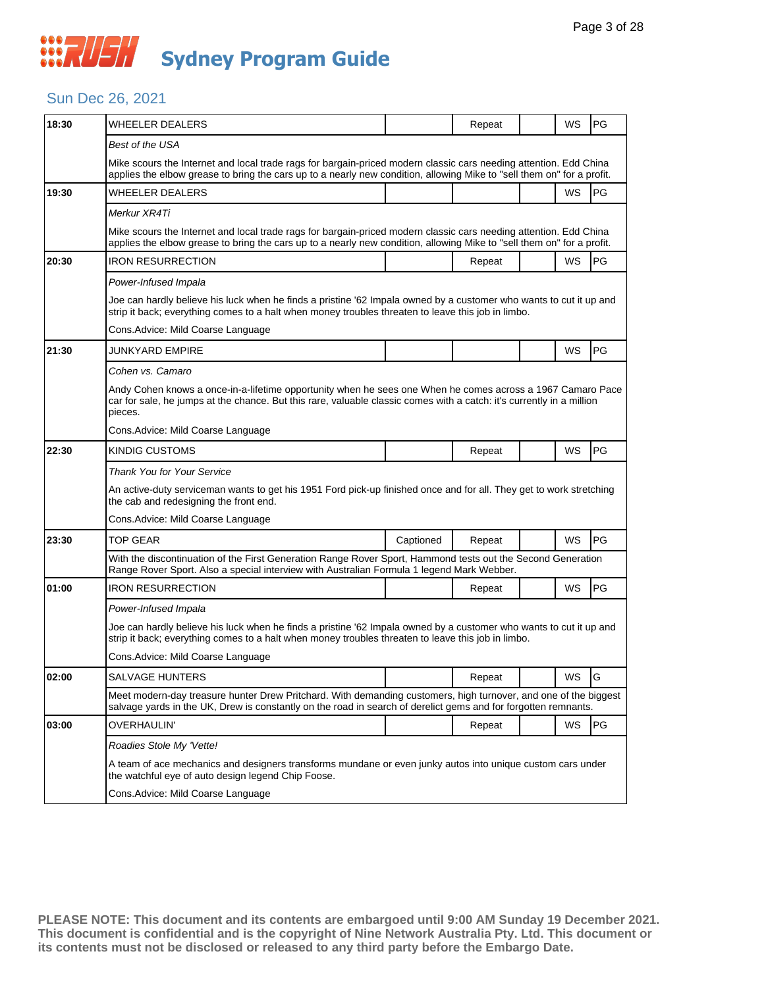#### Sun Dec 26, 2021

| 18:30 | WHEELER DEALERS                                                                                                                                                                                                                                |           | Repeat |  | WS        | PG         |  |  |
|-------|------------------------------------------------------------------------------------------------------------------------------------------------------------------------------------------------------------------------------------------------|-----------|--------|--|-----------|------------|--|--|
|       | Best of the USA                                                                                                                                                                                                                                |           |        |  |           |            |  |  |
|       | Mike scours the Internet and local trade rags for bargain-priced modern classic cars needing attention. Edd China<br>applies the elbow grease to bring the cars up to a nearly new condition, allowing Mike to "sell them on" for a profit.    |           |        |  |           |            |  |  |
| 19:30 | WHEELER DEALERS                                                                                                                                                                                                                                |           |        |  | WS        | PG         |  |  |
|       | Merkur XR4Ti                                                                                                                                                                                                                                   |           |        |  |           |            |  |  |
|       | Mike scours the Internet and local trade rags for bargain-priced modern classic cars needing attention. Edd China<br>applies the elbow grease to bring the cars up to a nearly new condition, allowing Mike to "sell them on" for a profit.    |           |        |  |           |            |  |  |
| 20:30 | <b>IRON RESURRECTION</b>                                                                                                                                                                                                                       |           | Repeat |  | WS        | <b>IPG</b> |  |  |
|       | Power-Infused Impala                                                                                                                                                                                                                           |           |        |  |           |            |  |  |
|       | Joe can hardly believe his luck when he finds a pristine '62 Impala owned by a customer who wants to cut it up and<br>strip it back; everything comes to a halt when money troubles threaten to leave this job in limbo.                       |           |        |  |           |            |  |  |
|       | Cons. Advice: Mild Coarse Language                                                                                                                                                                                                             |           |        |  |           |            |  |  |
| 21:30 | JUNKYARD EMPIRE                                                                                                                                                                                                                                |           |        |  | WS        | <b>PG</b>  |  |  |
|       | Cohen vs. Camaro                                                                                                                                                                                                                               |           |        |  |           |            |  |  |
|       | Andy Cohen knows a once-in-a-lifetime opportunity when he sees one When he comes across a 1967 Camaro Pace<br>car for sale, he jumps at the chance. But this rare, valuable classic comes with a catch: it's currently in a million<br>pieces. |           |        |  |           |            |  |  |
|       | Cons.Advice: Mild Coarse Language                                                                                                                                                                                                              |           |        |  |           |            |  |  |
| 22:30 | KINDIG CUSTOMS                                                                                                                                                                                                                                 |           | Repeat |  | <b>WS</b> | <b>PG</b>  |  |  |
|       | Thank You for Your Service                                                                                                                                                                                                                     |           |        |  |           |            |  |  |
|       | An active-duty serviceman wants to get his 1951 Ford pick-up finished once and for all. They get to work stretching<br>the cab and redesigning the front end.                                                                                  |           |        |  |           |            |  |  |
|       | Cons.Advice: Mild Coarse Language                                                                                                                                                                                                              |           |        |  |           |            |  |  |
| 23:30 | TOP GEAR                                                                                                                                                                                                                                       | Captioned | Repeat |  | WS        | PG         |  |  |
|       | With the discontinuation of the First Generation Range Rover Sport, Hammond tests out the Second Generation<br>Range Rover Sport. Also a special interview with Australian Formula 1 legend Mark Webber.                                       |           |        |  |           |            |  |  |
| 01:00 | <b>IRON RESURRECTION</b>                                                                                                                                                                                                                       |           | Repeat |  | WS        | PG         |  |  |
|       | Power-Infused Impala                                                                                                                                                                                                                           |           |        |  |           |            |  |  |
|       | Joe can hardly believe his luck when he finds a pristine '62 Impala owned by a customer who wants to cut it up and<br>strip it back; everything comes to a halt when money troubles threaten to leave this job in limbo.                       |           |        |  |           |            |  |  |
|       | Cons.Advice: Mild Coarse Language                                                                                                                                                                                                              |           |        |  |           |            |  |  |
| 02:00 | <b>SALVAGE HUNTERS</b>                                                                                                                                                                                                                         |           | Repeat |  | WS        | lG         |  |  |
|       | Meet modern-day treasure hunter Drew Pritchard. With demanding customers, high turnover, and one of the biggest<br>salvage yards in the UK, Drew is constantly on the road in search of derelict gems and for forgotten remnants.              |           |        |  |           |            |  |  |
| 03:00 | OVERHAULIN'                                                                                                                                                                                                                                    |           | Repeat |  | WS        | PG         |  |  |
|       | Roadies Stole My 'Vette!                                                                                                                                                                                                                       |           |        |  |           |            |  |  |
|       | A team of ace mechanics and designers transforms mundane or even junky autos into unique custom cars under<br>the watchful eye of auto design legend Chip Foose.                                                                               |           |        |  |           |            |  |  |
|       | Cons. Advice: Mild Coarse Language                                                                                                                                                                                                             |           |        |  |           |            |  |  |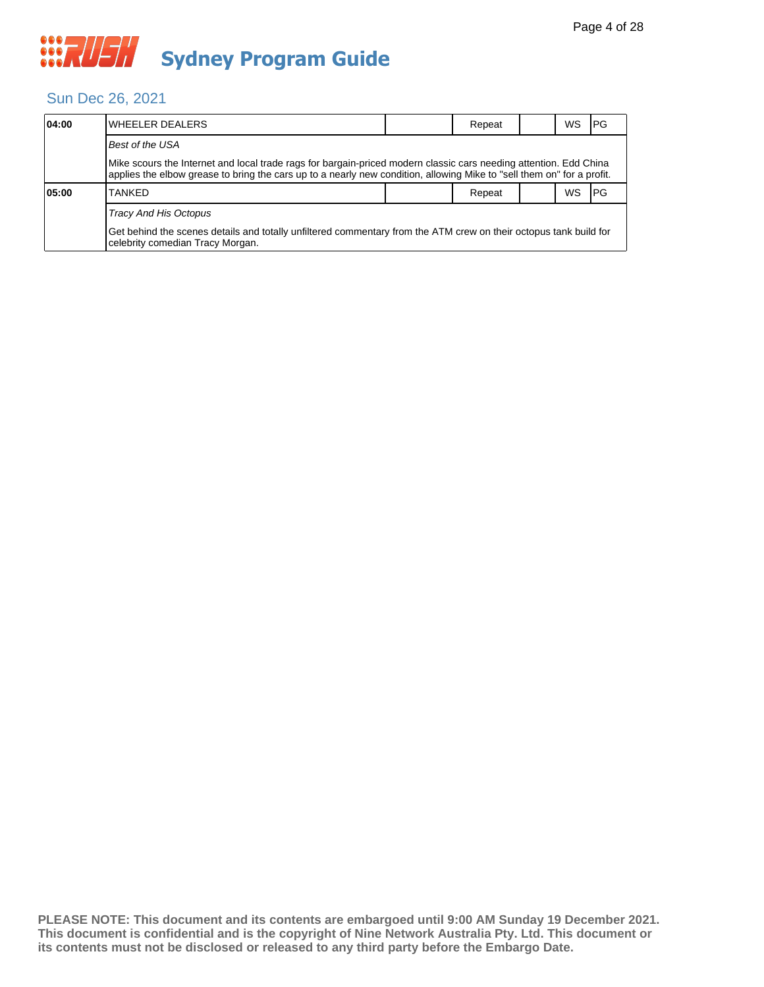#### Sun Dec 26, 2021

| 04:00 | IWHEELER DEALERS                                                                                                                                                                                                                            |  | Repeat |  | WS | l PG |  |  |  |  |
|-------|---------------------------------------------------------------------------------------------------------------------------------------------------------------------------------------------------------------------------------------------|--|--------|--|----|------|--|--|--|--|
|       | Best of the USA                                                                                                                                                                                                                             |  |        |  |    |      |  |  |  |  |
|       | Mike scours the Internet and local trade rags for bargain-priced modern classic cars needing attention. Edd China<br>applies the elbow grease to bring the cars up to a nearly new condition, allowing Mike to "sell them on" for a profit. |  |        |  |    |      |  |  |  |  |
| 05:00 | <b>TANKED</b>                                                                                                                                                                                                                               |  | Repeat |  | WS | l PG |  |  |  |  |
|       | Tracy And His Octopus                                                                                                                                                                                                                       |  |        |  |    |      |  |  |  |  |
|       | Get behind the scenes details and totally unfiltered commentary from the ATM crew on their octopus tank build for<br>celebrity comedian Tracy Morgan.                                                                                       |  |        |  |    |      |  |  |  |  |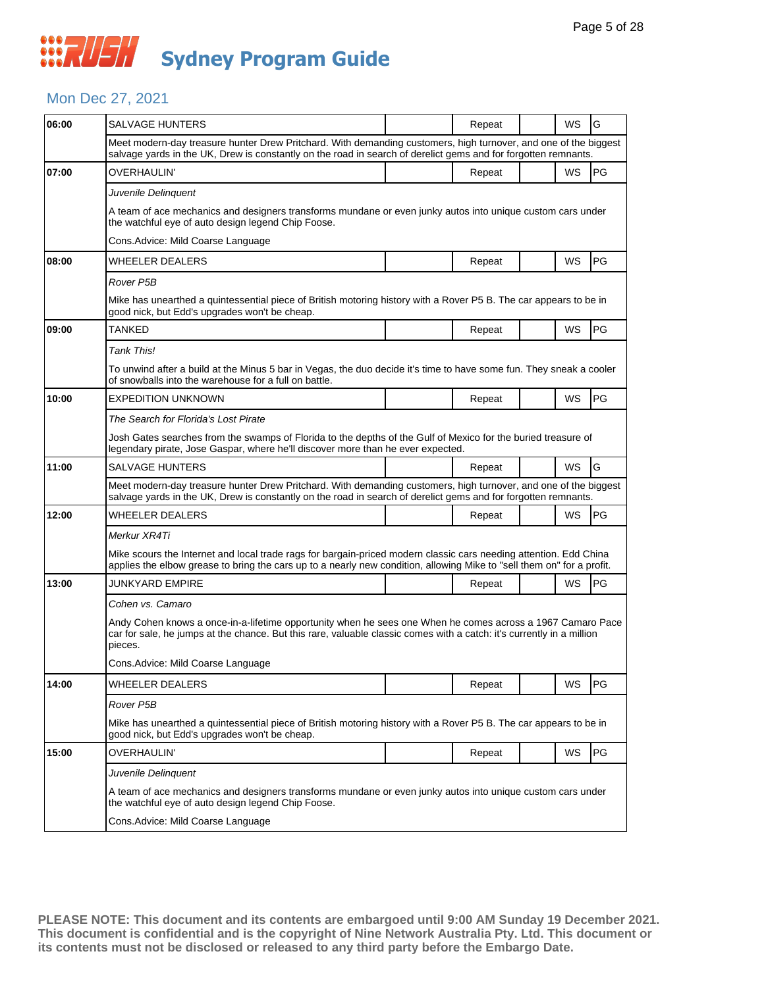#### Mon Dec 27, 2021

| 06:00 | SALVAGE HUNTERS                                                                                                                                                                                                                                |  | Repeat |  | WS        | G         |  |  |
|-------|------------------------------------------------------------------------------------------------------------------------------------------------------------------------------------------------------------------------------------------------|--|--------|--|-----------|-----------|--|--|
|       | Meet modern-day treasure hunter Drew Pritchard. With demanding customers, high turnover, and one of the biggest<br>salvage yards in the UK, Drew is constantly on the road in search of derelict gems and for forgotten remnants.              |  |        |  |           |           |  |  |
| 07:00 | OVERHAULIN'                                                                                                                                                                                                                                    |  | Repeat |  | <b>WS</b> | PG        |  |  |
|       | Juvenile Delinguent                                                                                                                                                                                                                            |  |        |  |           |           |  |  |
|       | A team of ace mechanics and designers transforms mundane or even junky autos into unique custom cars under<br>the watchful eye of auto design legend Chip Foose.                                                                               |  |        |  |           |           |  |  |
|       | Cons. Advice: Mild Coarse Language                                                                                                                                                                                                             |  |        |  |           |           |  |  |
| 08:00 | <b>WHEELER DEALERS</b>                                                                                                                                                                                                                         |  | Repeat |  | WS        | PG        |  |  |
|       | Rover P5B                                                                                                                                                                                                                                      |  |        |  |           |           |  |  |
|       | Mike has unearthed a quintessential piece of British motoring history with a Rover P5 B. The car appears to be in<br>good nick, but Edd's upgrades won't be cheap.                                                                             |  |        |  |           |           |  |  |
| 09:00 | TANKED                                                                                                                                                                                                                                         |  | Repeat |  | WS        | PG        |  |  |
|       | <b>Tank This!</b>                                                                                                                                                                                                                              |  |        |  |           |           |  |  |
|       | To unwind after a build at the Minus 5 bar in Vegas, the duo decide it's time to have some fun. They sneak a cooler<br>of snowballs into the warehouse for a full on battle.                                                                   |  |        |  |           |           |  |  |
| 10:00 | EXPEDITION UNKNOWN                                                                                                                                                                                                                             |  | Repeat |  | WS        | PG        |  |  |
|       | The Search for Florida's Lost Pirate                                                                                                                                                                                                           |  |        |  |           |           |  |  |
|       | Josh Gates searches from the swamps of Florida to the depths of the Gulf of Mexico for the buried treasure of<br>legendary pirate, Jose Gaspar, where he'll discover more than he ever expected.                                               |  |        |  |           |           |  |  |
| 11:00 | SALVAGE HUNTERS                                                                                                                                                                                                                                |  | Repeat |  | <b>WS</b> | G         |  |  |
|       | Meet modern-day treasure hunter Drew Pritchard. With demanding customers, high turnover, and one of the biggest<br>salvage yards in the UK, Drew is constantly on the road in search of derelict gems and for forgotten remnants.              |  |        |  |           |           |  |  |
| 12:00 | <b>WHEELER DEALERS</b>                                                                                                                                                                                                                         |  | Repeat |  | WS        | PG        |  |  |
|       | Merkur XR4Ti                                                                                                                                                                                                                                   |  |        |  |           |           |  |  |
|       | Mike scours the Internet and local trade rags for bargain-priced modern classic cars needing attention. Edd China<br>applies the elbow grease to bring the cars up to a nearly new condition, allowing Mike to "sell them on" for a profit.    |  |        |  |           |           |  |  |
| 13:00 | JUNKYARD EMPIRE                                                                                                                                                                                                                                |  | Repeat |  | WS        | <b>PG</b> |  |  |
|       | Cohen vs. Camaro                                                                                                                                                                                                                               |  |        |  |           |           |  |  |
|       | Andy Cohen knows a once-in-a-lifetime opportunity when he sees one When he comes across a 1967 Camaro Pace<br>car for sale, he jumps at the chance. But this rare, valuable classic comes with a catch: it's currently in a million<br>pieces. |  |        |  |           |           |  |  |
|       | Cons. Advice: Mild Coarse Language                                                                                                                                                                                                             |  |        |  |           |           |  |  |
| 14:00 | <b>WHEELER DEALERS</b>                                                                                                                                                                                                                         |  | Repeat |  | WS        | PG        |  |  |
|       | Rover P5B                                                                                                                                                                                                                                      |  |        |  |           |           |  |  |
|       | Mike has unearthed a quintessential piece of British motoring history with a Rover P5 B. The car appears to be in<br>good nick, but Edd's upgrades won't be cheap.                                                                             |  |        |  |           |           |  |  |
| 15:00 | OVERHAULIN'                                                                                                                                                                                                                                    |  | Repeat |  | <b>WS</b> | PG        |  |  |
|       | Juvenile Delinguent                                                                                                                                                                                                                            |  |        |  |           |           |  |  |
|       | A team of ace mechanics and designers transforms mundane or even junky autos into unique custom cars under<br>the watchful eye of auto design legend Chip Foose.                                                                               |  |        |  |           |           |  |  |
|       | Cons.Advice: Mild Coarse Language                                                                                                                                                                                                              |  |        |  |           |           |  |  |
|       |                                                                                                                                                                                                                                                |  |        |  |           |           |  |  |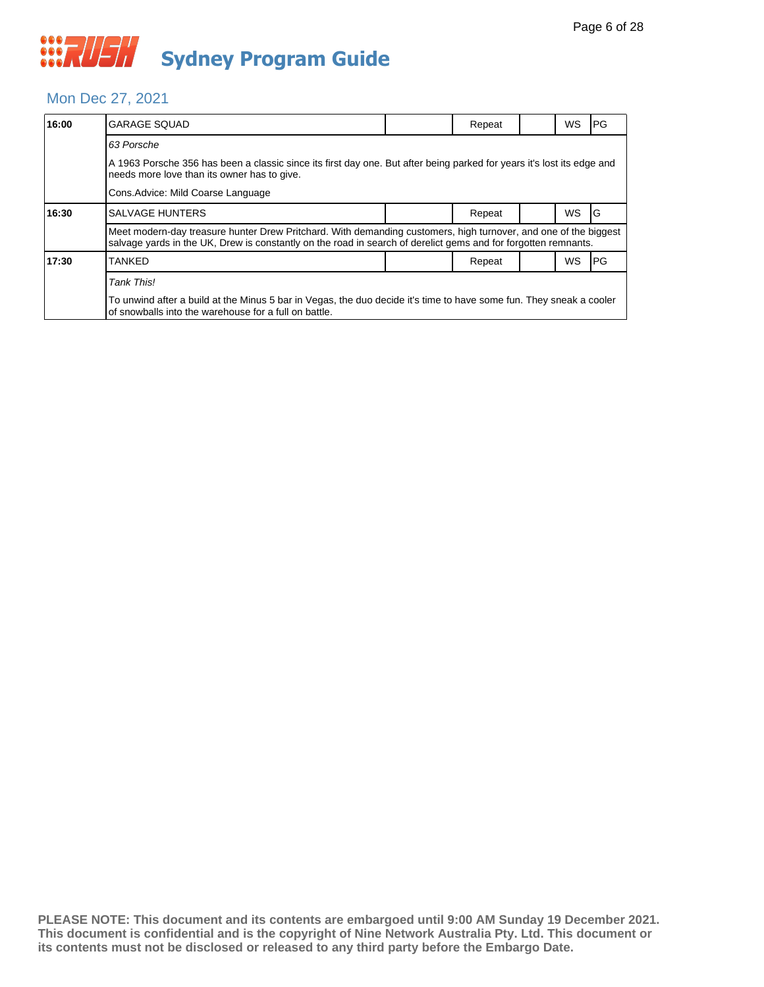#### Mon Dec 27, 2021

| 16:00                                                                                                                                                                        | <b>GARAGE SQUAD</b>                                                                                                                                                                                                               |  | Repeat |  | WS  | PG |  |  |  |
|------------------------------------------------------------------------------------------------------------------------------------------------------------------------------|-----------------------------------------------------------------------------------------------------------------------------------------------------------------------------------------------------------------------------------|--|--------|--|-----|----|--|--|--|
|                                                                                                                                                                              | 63 Porsche                                                                                                                                                                                                                        |  |        |  |     |    |  |  |  |
|                                                                                                                                                                              | A 1963 Porsche 356 has been a classic since its first day one. But after being parked for years it's lost its edge and<br>needs more love than its owner has to give.                                                             |  |        |  |     |    |  |  |  |
|                                                                                                                                                                              | Cons. Advice: Mild Coarse Language                                                                                                                                                                                                |  |        |  |     |    |  |  |  |
| 16:30                                                                                                                                                                        | <b>SALVAGE HUNTERS</b>                                                                                                                                                                                                            |  | Repeat |  | WS. | G  |  |  |  |
|                                                                                                                                                                              | Meet modern-day treasure hunter Drew Pritchard. With demanding customers, high turnover, and one of the biggest<br>salvage yards in the UK, Drew is constantly on the road in search of derelict gems and for forgotten remnants. |  |        |  |     |    |  |  |  |
| 17:30                                                                                                                                                                        | <b>TANKED</b>                                                                                                                                                                                                                     |  | Repeat |  | WS  | PG |  |  |  |
|                                                                                                                                                                              | Tank This!                                                                                                                                                                                                                        |  |        |  |     |    |  |  |  |
| To unwind after a build at the Minus 5 bar in Vegas, the duo decide it's time to have some fun. They sneak a cooler<br>of snowballs into the warehouse for a full on battle. |                                                                                                                                                                                                                                   |  |        |  |     |    |  |  |  |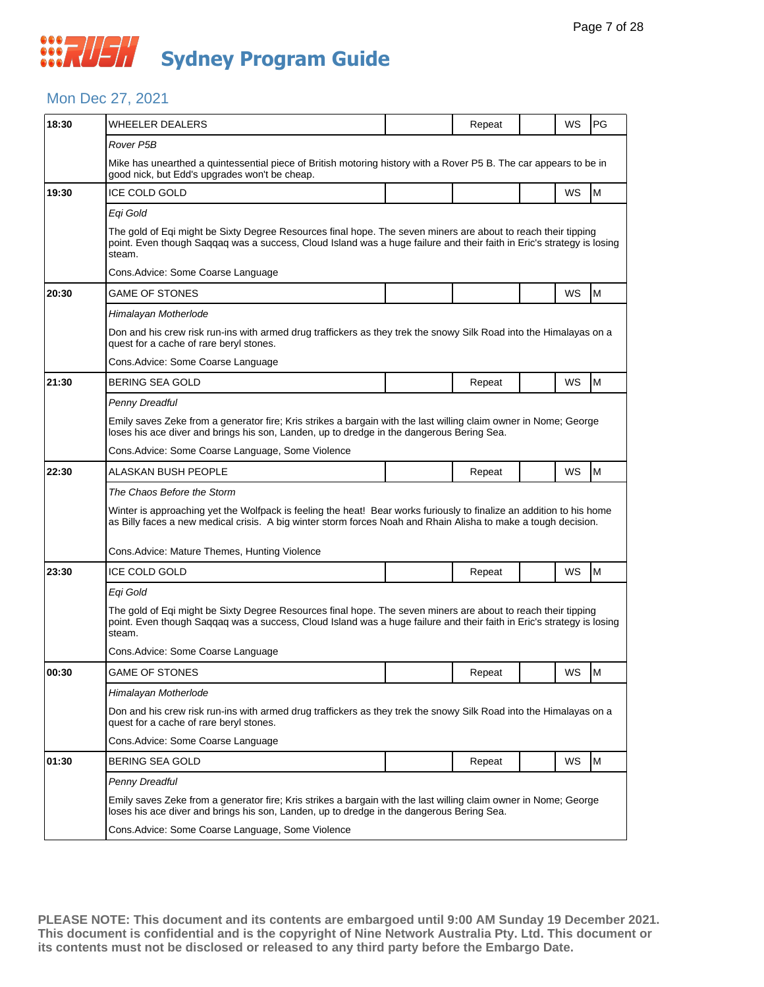## **WAUSH Sydney Program Guide**

#### Mon Dec 27, 2021

| 18:30 | WHEELER DEALERS                                                                                                                                                                                                                                  |                                                                                                                    | Repeat |  | WS | <b>PG</b> |  |  |  |
|-------|--------------------------------------------------------------------------------------------------------------------------------------------------------------------------------------------------------------------------------------------------|--------------------------------------------------------------------------------------------------------------------|--------|--|----|-----------|--|--|--|
|       | Rover P5B                                                                                                                                                                                                                                        |                                                                                                                    |        |  |    |           |  |  |  |
|       | Mike has unearthed a quintessential piece of British motoring history with a Rover P5 B. The car appears to be in<br>good nick, but Edd's upgrades won't be cheap.                                                                               |                                                                                                                    |        |  |    |           |  |  |  |
| 19:30 | <b>ICE COLD GOLD</b>                                                                                                                                                                                                                             |                                                                                                                    |        |  | WS | M         |  |  |  |
|       | Egi Gold                                                                                                                                                                                                                                         |                                                                                                                    |        |  |    |           |  |  |  |
|       | The gold of Eqi might be Sixty Degree Resources final hope. The seven miners are about to reach their tipping<br>point. Even though Saggag was a success, Cloud Island was a huge failure and their faith in Eric's strategy is losing<br>steam. |                                                                                                                    |        |  |    |           |  |  |  |
|       | Cons. Advice: Some Coarse Language                                                                                                                                                                                                               |                                                                                                                    |        |  |    |           |  |  |  |
| 20:30 | GAME OF STONES                                                                                                                                                                                                                                   |                                                                                                                    |        |  | WS | M         |  |  |  |
|       | Himalayan Motherlode                                                                                                                                                                                                                             |                                                                                                                    |        |  |    |           |  |  |  |
|       | quest for a cache of rare beryl stones.                                                                                                                                                                                                          | Don and his crew risk run-ins with armed drug traffickers as they trek the snowy Silk Road into the Himalayas on a |        |  |    |           |  |  |  |
|       | Cons.Advice: Some Coarse Language                                                                                                                                                                                                                |                                                                                                                    |        |  |    |           |  |  |  |
| 21:30 | BERING SEA GOLD                                                                                                                                                                                                                                  |                                                                                                                    | Repeat |  | WS | M         |  |  |  |
|       | Penny Dreadful                                                                                                                                                                                                                                   |                                                                                                                    |        |  |    |           |  |  |  |
|       | Emily saves Zeke from a generator fire; Kris strikes a bargain with the last willing claim owner in Nome; George<br>loses his ace diver and brings his son, Landen, up to dredge in the dangerous Bering Sea.                                    |                                                                                                                    |        |  |    |           |  |  |  |
|       | Cons.Advice: Some Coarse Language, Some Violence                                                                                                                                                                                                 |                                                                                                                    |        |  |    |           |  |  |  |
| 22:30 | ALASKAN BUSH PEOPLE                                                                                                                                                                                                                              |                                                                                                                    | Repeat |  | WS | M         |  |  |  |
|       | The Chaos Before the Storm                                                                                                                                                                                                                       |                                                                                                                    |        |  |    |           |  |  |  |
|       | Winter is approaching yet the Wolfpack is feeling the heat! Bear works furiously to finalize an addition to his home<br>as Billy faces a new medical crisis. A big winter storm forces Noah and Rhain Alisha to make a tough decision.           |                                                                                                                    |        |  |    |           |  |  |  |
|       | Cons. Advice: Mature Themes, Hunting Violence                                                                                                                                                                                                    |                                                                                                                    |        |  |    |           |  |  |  |
| 23:30 | <b>ICE COLD GOLD</b>                                                                                                                                                                                                                             |                                                                                                                    | Repeat |  | WS | M         |  |  |  |
|       | Eqi Gold                                                                                                                                                                                                                                         |                                                                                                                    |        |  |    |           |  |  |  |
|       | The gold of Eqi might be Sixty Degree Resources final hope. The seven miners are about to reach their tipping<br>point. Even though Saqqaq was a success, Cloud Island was a huge failure and their faith in Eric's strategy is losing<br>steam. |                                                                                                                    |        |  |    |           |  |  |  |
|       | Cons.Advice: Some Coarse Language                                                                                                                                                                                                                |                                                                                                                    |        |  |    |           |  |  |  |
| 00:30 | GAME OF STONES                                                                                                                                                                                                                                   |                                                                                                                    | Repeat |  | WS | M         |  |  |  |
|       | Himalayan Motherlode                                                                                                                                                                                                                             |                                                                                                                    |        |  |    |           |  |  |  |
|       | Don and his crew risk run-ins with armed drug traffickers as they trek the snowy Silk Road into the Himalayas on a<br>quest for a cache of rare beryl stones.                                                                                    |                                                                                                                    |        |  |    |           |  |  |  |
|       | Cons.Advice: Some Coarse Language                                                                                                                                                                                                                |                                                                                                                    |        |  |    |           |  |  |  |
|       |                                                                                                                                                                                                                                                  |                                                                                                                    |        |  |    |           |  |  |  |
| 01:30 | BERING SEA GOLD                                                                                                                                                                                                                                  |                                                                                                                    | Repeat |  | WS | M         |  |  |  |
|       | Penny Dreadful                                                                                                                                                                                                                                   |                                                                                                                    |        |  |    |           |  |  |  |
|       | Emily saves Zeke from a generator fire; Kris strikes a bargain with the last willing claim owner in Nome; George<br>loses his ace diver and brings his son, Landen, up to dredge in the dangerous Bering Sea.                                    |                                                                                                                    |        |  |    |           |  |  |  |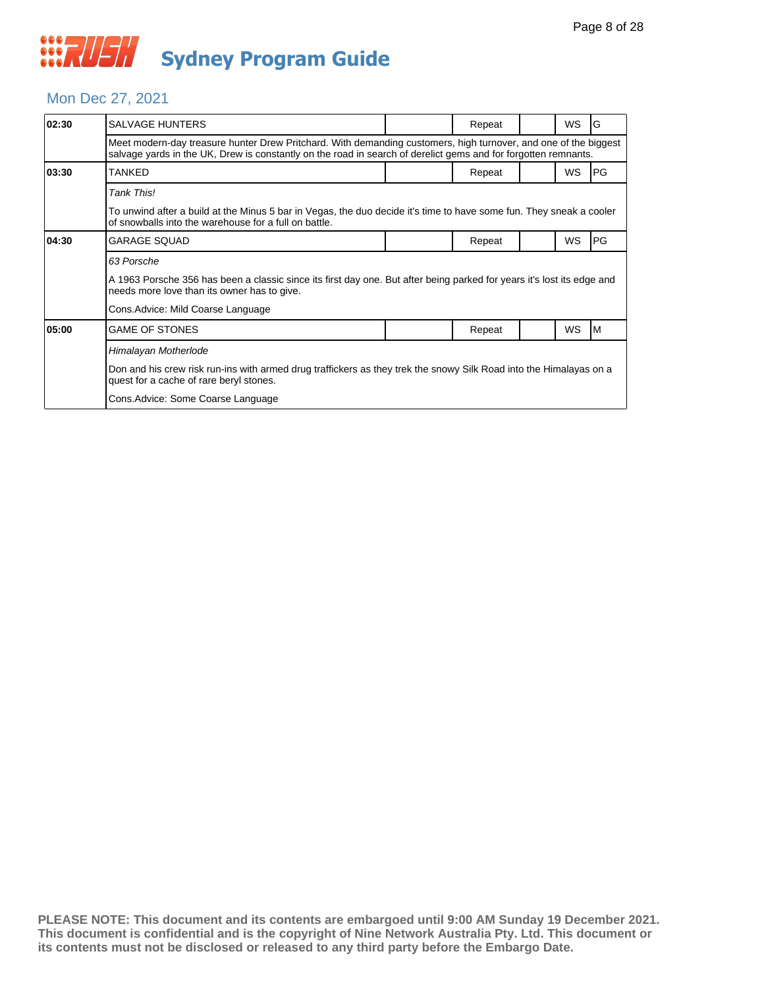#### Mon Dec 27, 2021

| 02:30 | <b>SALVAGE HUNTERS</b>                                                                                                                                                                                                            |  | Repeat |  | <b>WS</b> | G          |  |  |
|-------|-----------------------------------------------------------------------------------------------------------------------------------------------------------------------------------------------------------------------------------|--|--------|--|-----------|------------|--|--|
|       | Meet modern-day treasure hunter Drew Pritchard. With demanding customers, high turnover, and one of the biggest<br>salvage yards in the UK, Drew is constantly on the road in search of derelict gems and for forgotten remnants. |  |        |  |           |            |  |  |
| 03:30 | TANKED                                                                                                                                                                                                                            |  | Repeat |  | WS        | PG         |  |  |
|       | Tank This!                                                                                                                                                                                                                        |  |        |  |           |            |  |  |
|       | To unwind after a build at the Minus 5 bar in Vegas, the duo decide it's time to have some fun. They sneak a cooler<br>of snowballs into the warehouse for a full on battle.                                                      |  |        |  |           |            |  |  |
| 04:30 | GARAGE SQUAD                                                                                                                                                                                                                      |  | Repeat |  | WS        | <b>IPG</b> |  |  |
|       | 63 Porsche                                                                                                                                                                                                                        |  |        |  |           |            |  |  |
|       | A 1963 Porsche 356 has been a classic since its first day one. But after being parked for years it's lost its edge and<br>needs more love than its owner has to give.                                                             |  |        |  |           |            |  |  |
|       | Cons. Advice: Mild Coarse Language                                                                                                                                                                                                |  |        |  |           |            |  |  |
| 05:00 | <b>GAME OF STONES</b>                                                                                                                                                                                                             |  | Repeat |  | WS        | M          |  |  |
|       | Himalayan Motherlode                                                                                                                                                                                                              |  |        |  |           |            |  |  |
|       | Don and his crew risk run-ins with armed drug traffickers as they trek the snowy Silk Road into the Himalayas on a<br>quest for a cache of rare beryl stones.                                                                     |  |        |  |           |            |  |  |
|       | Cons. Advice: Some Coarse Language                                                                                                                                                                                                |  |        |  |           |            |  |  |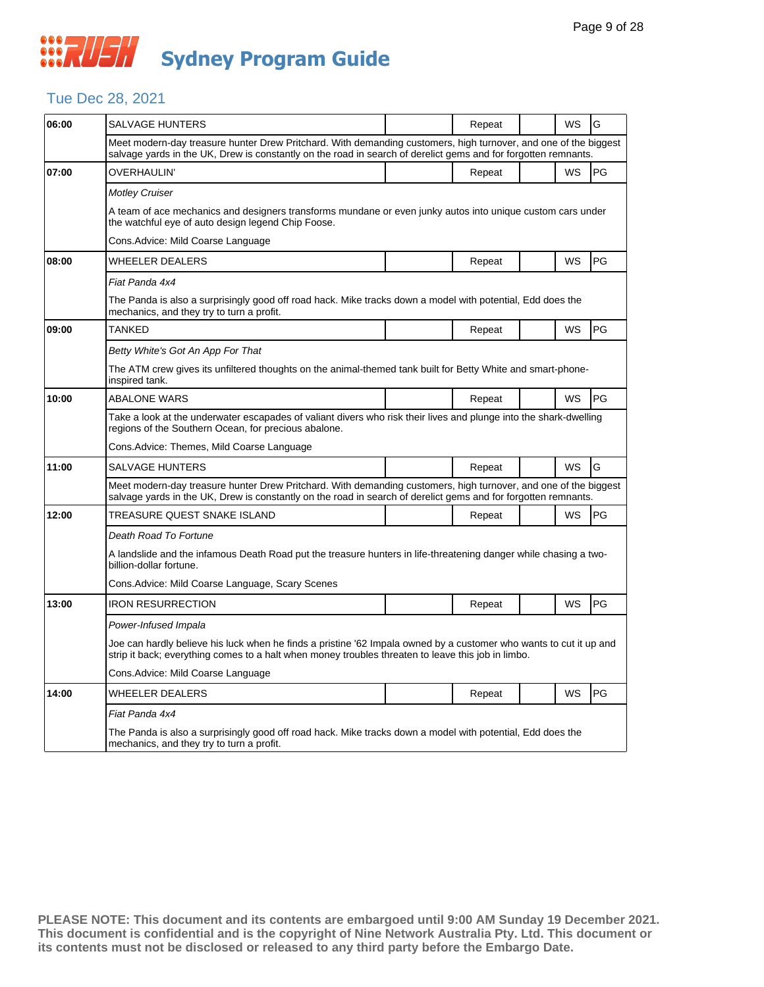## **WAUSH Sydney Program Guide**

#### Tue Dec 28, 2021

| SALVAGE HUNTERS                                                                                                                                                                                                          |  | Repeat |  | WS        | G                                                                                                                                                                                                                                                                                                                                                                                                                                                                                                                                                                                                                                                                                                   |  |  |
|--------------------------------------------------------------------------------------------------------------------------------------------------------------------------------------------------------------------------|--|--------|--|-----------|-----------------------------------------------------------------------------------------------------------------------------------------------------------------------------------------------------------------------------------------------------------------------------------------------------------------------------------------------------------------------------------------------------------------------------------------------------------------------------------------------------------------------------------------------------------------------------------------------------------------------------------------------------------------------------------------------------|--|--|
|                                                                                                                                                                                                                          |  |        |  |           |                                                                                                                                                                                                                                                                                                                                                                                                                                                                                                                                                                                                                                                                                                     |  |  |
| <b>OVERHAULIN'</b>                                                                                                                                                                                                       |  | Repeat |  | WS        | PG                                                                                                                                                                                                                                                                                                                                                                                                                                                                                                                                                                                                                                                                                                  |  |  |
| Motley Cruiser                                                                                                                                                                                                           |  |        |  |           |                                                                                                                                                                                                                                                                                                                                                                                                                                                                                                                                                                                                                                                                                                     |  |  |
| the watchful eye of auto design legend Chip Foose.                                                                                                                                                                       |  |        |  |           |                                                                                                                                                                                                                                                                                                                                                                                                                                                                                                                                                                                                                                                                                                     |  |  |
| Cons.Advice: Mild Coarse Language                                                                                                                                                                                        |  |        |  |           |                                                                                                                                                                                                                                                                                                                                                                                                                                                                                                                                                                                                                                                                                                     |  |  |
| WHEELER DEALERS                                                                                                                                                                                                          |  | Repeat |  | WS        | <b>PG</b>                                                                                                                                                                                                                                                                                                                                                                                                                                                                                                                                                                                                                                                                                           |  |  |
| Fiat Panda 4x4                                                                                                                                                                                                           |  |        |  |           |                                                                                                                                                                                                                                                                                                                                                                                                                                                                                                                                                                                                                                                                                                     |  |  |
| The Panda is also a surprisingly good off road hack. Mike tracks down a model with potential, Edd does the<br>mechanics, and they try to turn a profit.                                                                  |  |        |  |           |                                                                                                                                                                                                                                                                                                                                                                                                                                                                                                                                                                                                                                                                                                     |  |  |
| <b>TANKED</b>                                                                                                                                                                                                            |  | Repeat |  | WS        | <b>PG</b>                                                                                                                                                                                                                                                                                                                                                                                                                                                                                                                                                                                                                                                                                           |  |  |
| Betty White's Got An App For That                                                                                                                                                                                        |  |        |  |           |                                                                                                                                                                                                                                                                                                                                                                                                                                                                                                                                                                                                                                                                                                     |  |  |
| inspired tank.                                                                                                                                                                                                           |  |        |  |           |                                                                                                                                                                                                                                                                                                                                                                                                                                                                                                                                                                                                                                                                                                     |  |  |
| <b>ABALONE WARS</b>                                                                                                                                                                                                      |  | Repeat |  | <b>WS</b> | <b>PG</b>                                                                                                                                                                                                                                                                                                                                                                                                                                                                                                                                                                                                                                                                                           |  |  |
| Take a look at the underwater escapades of valiant divers who risk their lives and plunge into the shark-dwelling<br>regions of the Southern Ocean, for precious abalone.                                                |  |        |  |           |                                                                                                                                                                                                                                                                                                                                                                                                                                                                                                                                                                                                                                                                                                     |  |  |
| Cons.Advice: Themes, Mild Coarse Language                                                                                                                                                                                |  |        |  |           |                                                                                                                                                                                                                                                                                                                                                                                                                                                                                                                                                                                                                                                                                                     |  |  |
| <b>SALVAGE HUNTERS</b>                                                                                                                                                                                                   |  | Repeat |  | <b>WS</b> | G                                                                                                                                                                                                                                                                                                                                                                                                                                                                                                                                                                                                                                                                                                   |  |  |
|                                                                                                                                                                                                                          |  |        |  |           |                                                                                                                                                                                                                                                                                                                                                                                                                                                                                                                                                                                                                                                                                                     |  |  |
| TREASURE QUEST SNAKE ISLAND                                                                                                                                                                                              |  | Repeat |  | WS        | PG                                                                                                                                                                                                                                                                                                                                                                                                                                                                                                                                                                                                                                                                                                  |  |  |
| Death Road To Fortune                                                                                                                                                                                                    |  |        |  |           |                                                                                                                                                                                                                                                                                                                                                                                                                                                                                                                                                                                                                                                                                                     |  |  |
| A landslide and the infamous Death Road put the treasure hunters in life-threatening danger while chasing a two-<br>billion-dollar fortune.                                                                              |  |        |  |           |                                                                                                                                                                                                                                                                                                                                                                                                                                                                                                                                                                                                                                                                                                     |  |  |
| Cons. Advice: Mild Coarse Language, Scary Scenes                                                                                                                                                                         |  |        |  |           |                                                                                                                                                                                                                                                                                                                                                                                                                                                                                                                                                                                                                                                                                                     |  |  |
| <b>IRON RESURRECTION</b>                                                                                                                                                                                                 |  | Repeat |  | <b>WS</b> | PG                                                                                                                                                                                                                                                                                                                                                                                                                                                                                                                                                                                                                                                                                                  |  |  |
| Power-Infused Impala                                                                                                                                                                                                     |  |        |  |           |                                                                                                                                                                                                                                                                                                                                                                                                                                                                                                                                                                                                                                                                                                     |  |  |
| Joe can hardly believe his luck when he finds a pristine '62 Impala owned by a customer who wants to cut it up and<br>strip it back; everything comes to a halt when money troubles threaten to leave this job in limbo. |  |        |  |           |                                                                                                                                                                                                                                                                                                                                                                                                                                                                                                                                                                                                                                                                                                     |  |  |
| Cons.Advice: Mild Coarse Language                                                                                                                                                                                        |  |        |  |           |                                                                                                                                                                                                                                                                                                                                                                                                                                                                                                                                                                                                                                                                                                     |  |  |
| WHEELER DEALERS                                                                                                                                                                                                          |  | Repeat |  | WS        | <b>PG</b>                                                                                                                                                                                                                                                                                                                                                                                                                                                                                                                                                                                                                                                                                           |  |  |
| Fiat Panda 4x4                                                                                                                                                                                                           |  |        |  |           |                                                                                                                                                                                                                                                                                                                                                                                                                                                                                                                                                                                                                                                                                                     |  |  |
| The Panda is also a surprisingly good off road hack. Mike tracks down a model with potential, Edd does the<br>mechanics, and they try to turn a profit.                                                                  |  |        |  |           |                                                                                                                                                                                                                                                                                                                                                                                                                                                                                                                                                                                                                                                                                                     |  |  |
|                                                                                                                                                                                                                          |  |        |  |           | Meet modern-day treasure hunter Drew Pritchard. With demanding customers, high turnover, and one of the biggest<br>salvage yards in the UK, Drew is constantly on the road in search of derelict gems and for forgotten remnants.<br>A team of ace mechanics and designers transforms mundane or even junky autos into unique custom cars under<br>The ATM crew gives its unfiltered thoughts on the animal-themed tank built for Betty White and smart-phone-<br>Meet modern-day treasure hunter Drew Pritchard. With demanding customers, high turnover, and one of the biggest<br>salvage yards in the UK, Drew is constantly on the road in search of derelict gems and for forgotten remnants. |  |  |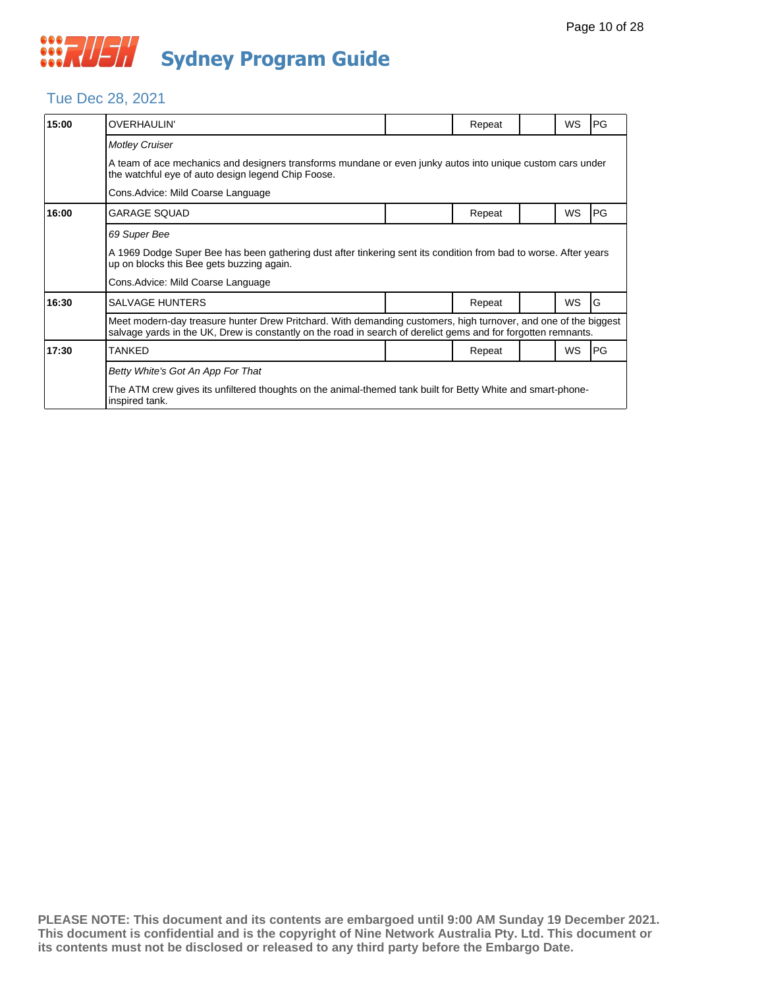#### Tue Dec 28, 2021

| 15:00 | <b>OVERHAULIN'</b>                                                                                                                                                                                                                |                                                                                                            | Repeat |  | <b>WS</b> | PG |  |  |  |
|-------|-----------------------------------------------------------------------------------------------------------------------------------------------------------------------------------------------------------------------------------|------------------------------------------------------------------------------------------------------------|--------|--|-----------|----|--|--|--|
|       | <b>Motley Cruiser</b>                                                                                                                                                                                                             |                                                                                                            |        |  |           |    |  |  |  |
|       | the watchful eye of auto design legend Chip Foose.                                                                                                                                                                                | A team of ace mechanics and designers transforms mundane or even junky autos into unique custom cars under |        |  |           |    |  |  |  |
|       | Cons. Advice: Mild Coarse Language                                                                                                                                                                                                |                                                                                                            |        |  |           |    |  |  |  |
| 16:00 | <b>GARAGE SQUAD</b>                                                                                                                                                                                                               |                                                                                                            | Repeat |  | <b>WS</b> | PG |  |  |  |
|       | 69 Super Bee                                                                                                                                                                                                                      |                                                                                                            |        |  |           |    |  |  |  |
|       | A 1969 Dodge Super Bee has been gathering dust after tinkering sent its condition from bad to worse. After years<br>up on blocks this Bee gets buzzing again.                                                                     |                                                                                                            |        |  |           |    |  |  |  |
|       | Cons. Advice: Mild Coarse Language                                                                                                                                                                                                |                                                                                                            |        |  |           |    |  |  |  |
| 16:30 | <b>SALVAGE HUNTERS</b>                                                                                                                                                                                                            |                                                                                                            | Repeat |  | <b>WS</b> | G  |  |  |  |
|       | Meet modern-day treasure hunter Drew Pritchard. With demanding customers, high turnover, and one of the biggest<br>salvage yards in the UK, Drew is constantly on the road in search of derelict gems and for forgotten remnants. |                                                                                                            |        |  |           |    |  |  |  |
| 17:30 | <b>TANKED</b>                                                                                                                                                                                                                     |                                                                                                            | Repeat |  | <b>WS</b> | PG |  |  |  |
|       | Betty White's Got An App For That                                                                                                                                                                                                 |                                                                                                            |        |  |           |    |  |  |  |
|       | The ATM crew gives its unfiltered thoughts on the animal-themed tank built for Betty White and smart-phone-<br>inspired tank.                                                                                                     |                                                                                                            |        |  |           |    |  |  |  |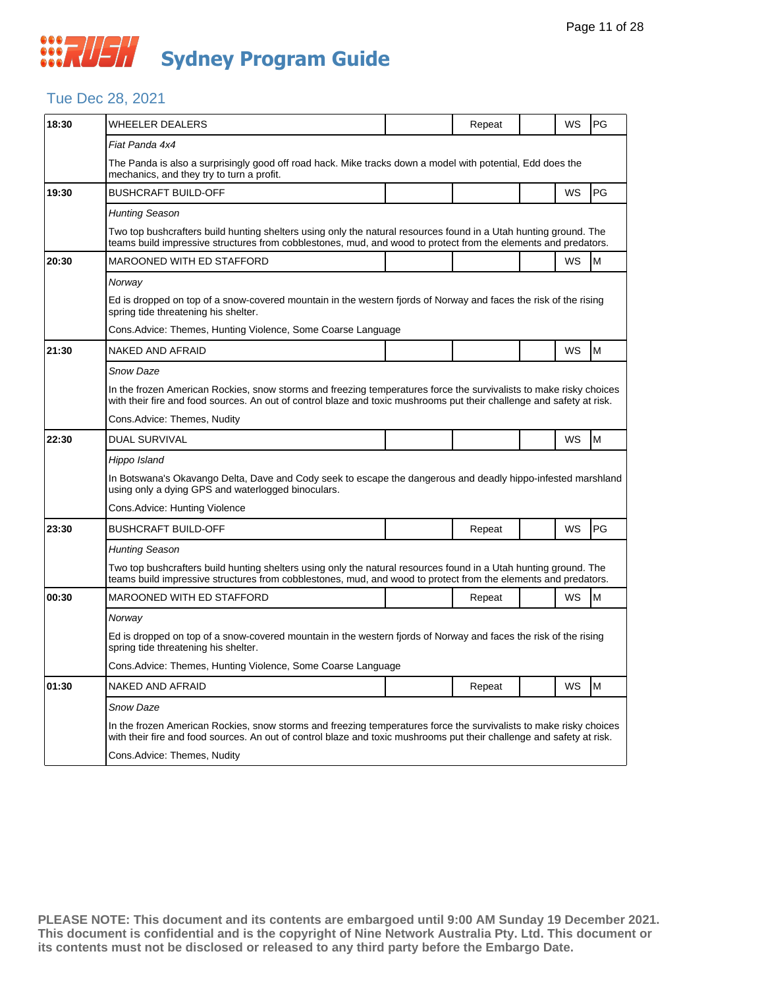#### Tue Dec 28, 2021

| 18:30 | <b>WHEELER DEALERS</b>                                                                                                                                                                                                                      |  | Repeat |  | WS        | PG |  |  |
|-------|---------------------------------------------------------------------------------------------------------------------------------------------------------------------------------------------------------------------------------------------|--|--------|--|-----------|----|--|--|
|       | Fiat Panda 4x4                                                                                                                                                                                                                              |  |        |  |           |    |  |  |
|       | The Panda is also a surprisingly good off road hack. Mike tracks down a model with potential, Edd does the<br>mechanics, and they try to turn a profit.                                                                                     |  |        |  |           |    |  |  |
| 19:30 | <b>BUSHCRAFT BUILD-OFF</b>                                                                                                                                                                                                                  |  |        |  | WS        | PG |  |  |
|       | <b>Hunting Season</b>                                                                                                                                                                                                                       |  |        |  |           |    |  |  |
|       | Two top bushcrafters build hunting shelters using only the natural resources found in a Utah hunting ground. The<br>teams build impressive structures from cobblestones, mud, and wood to protect from the elements and predators.          |  |        |  |           |    |  |  |
| 20:30 | MAROONED WITH ED STAFFORD                                                                                                                                                                                                                   |  |        |  | <b>WS</b> | M  |  |  |
|       | Norway                                                                                                                                                                                                                                      |  |        |  |           |    |  |  |
|       | Ed is dropped on top of a snow-covered mountain in the western fjords of Norway and faces the risk of the rising<br>spring tide threatening his shelter.                                                                                    |  |        |  |           |    |  |  |
|       | Cons.Advice: Themes, Hunting Violence, Some Coarse Language                                                                                                                                                                                 |  |        |  |           |    |  |  |
| 21:30 | NAKED AND AFRAID                                                                                                                                                                                                                            |  |        |  | WS        | M  |  |  |
|       | Snow Daze                                                                                                                                                                                                                                   |  |        |  |           |    |  |  |
|       | In the frozen American Rockies, snow storms and freezing temperatures force the survivalists to make risky choices<br>with their fire and food sources. An out of control blaze and toxic mushrooms put their challenge and safety at risk. |  |        |  |           |    |  |  |
|       | Cons.Advice: Themes, Nudity                                                                                                                                                                                                                 |  |        |  |           |    |  |  |
| 22:30 | <b>DUAL SURVIVAL</b>                                                                                                                                                                                                                        |  |        |  | WS        | M  |  |  |
|       | Hippo Island                                                                                                                                                                                                                                |  |        |  |           |    |  |  |
|       | In Botswana's Okavango Delta, Dave and Cody seek to escape the dangerous and deadly hippo-infested marshland<br>using only a dying GPS and waterlogged binoculars.                                                                          |  |        |  |           |    |  |  |
|       | Cons.Advice: Hunting Violence                                                                                                                                                                                                               |  |        |  |           |    |  |  |
| 23:30 | <b>BUSHCRAFT BUILD-OFF</b>                                                                                                                                                                                                                  |  | Repeat |  | WS        | PG |  |  |
|       | <b>Hunting Season</b>                                                                                                                                                                                                                       |  |        |  |           |    |  |  |
|       | Two top bushcrafters build hunting shelters using only the natural resources found in a Utah hunting ground. The<br>teams build impressive structures from cobblestones, mud, and wood to protect from the elements and predators.          |  |        |  |           |    |  |  |
| 00:30 | MAROONED WITH ED STAFFORD                                                                                                                                                                                                                   |  | Repeat |  | WS        | M  |  |  |
|       | Norway                                                                                                                                                                                                                                      |  |        |  |           |    |  |  |
|       | Ed is dropped on top of a snow-covered mountain in the western fjords of Norway and faces the risk of the rising<br>spring tide threatening his shelter.                                                                                    |  |        |  |           |    |  |  |
|       | Cons.Advice: Themes, Hunting Violence, Some Coarse Language                                                                                                                                                                                 |  |        |  |           |    |  |  |
| 01:30 | NAKED AND AFRAID                                                                                                                                                                                                                            |  | Repeat |  | WS        | M  |  |  |
|       | Snow Daze                                                                                                                                                                                                                                   |  |        |  |           |    |  |  |
|       | In the frozen American Rockies, snow storms and freezing temperatures force the survivalists to make risky choices<br>with their fire and food sources. An out of control blaze and toxic mushrooms put their challenge and safety at risk. |  |        |  |           |    |  |  |
|       | Cons.Advice: Themes, Nudity                                                                                                                                                                                                                 |  |        |  |           |    |  |  |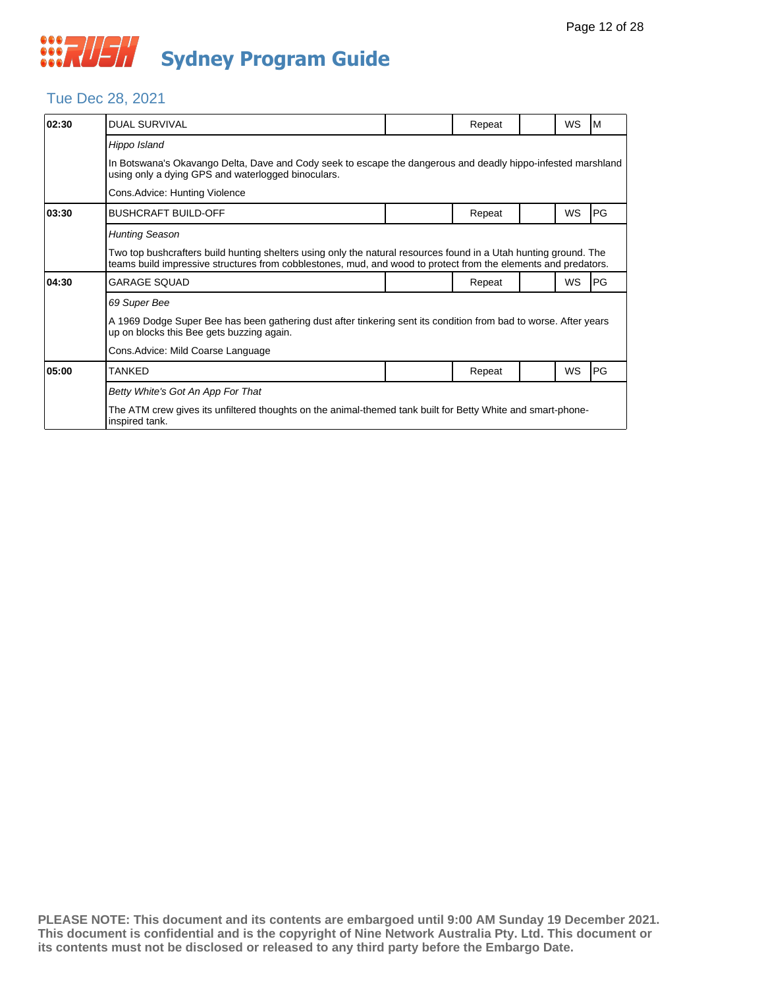#### Tue Dec 28, 2021

| 02:30 | <b>DUAL SURVIVAL</b>                                                                                                                                                                                                               |  | Repeat |  | WS        | M  |  |  |  |
|-------|------------------------------------------------------------------------------------------------------------------------------------------------------------------------------------------------------------------------------------|--|--------|--|-----------|----|--|--|--|
|       | Hippo Island                                                                                                                                                                                                                       |  |        |  |           |    |  |  |  |
|       | In Botswana's Okavango Delta, Dave and Cody seek to escape the dangerous and deadly hippo-infested marshland<br>using only a dying GPS and waterlogged binoculars.                                                                 |  |        |  |           |    |  |  |  |
|       | Cons.Advice: Hunting Violence                                                                                                                                                                                                      |  |        |  |           |    |  |  |  |
| 03:30 | BUSHCRAFT BUILD-OFF                                                                                                                                                                                                                |  | Repeat |  | WS        | PG |  |  |  |
|       | <b>Hunting Season</b>                                                                                                                                                                                                              |  |        |  |           |    |  |  |  |
|       | Two top bushcrafters build hunting shelters using only the natural resources found in a Utah hunting ground. The<br>teams build impressive structures from cobblestones, mud, and wood to protect from the elements and predators. |  |        |  |           |    |  |  |  |
| 04:30 | GARAGE SQUAD                                                                                                                                                                                                                       |  | Repeat |  | <b>WS</b> | PG |  |  |  |
|       | 69 Super Bee                                                                                                                                                                                                                       |  |        |  |           |    |  |  |  |
|       | A 1969 Dodge Super Bee has been gathering dust after tinkering sent its condition from bad to worse. After years<br>up on blocks this Bee gets buzzing again.                                                                      |  |        |  |           |    |  |  |  |
|       | Cons.Advice: Mild Coarse Language                                                                                                                                                                                                  |  |        |  |           |    |  |  |  |
| 05:00 | TANKED                                                                                                                                                                                                                             |  | Repeat |  | WS        | PG |  |  |  |
|       | Betty White's Got An App For That                                                                                                                                                                                                  |  |        |  |           |    |  |  |  |
|       | The ATM crew gives its unfiltered thoughts on the animal-themed tank built for Betty White and smart-phone-<br>inspired tank.                                                                                                      |  |        |  |           |    |  |  |  |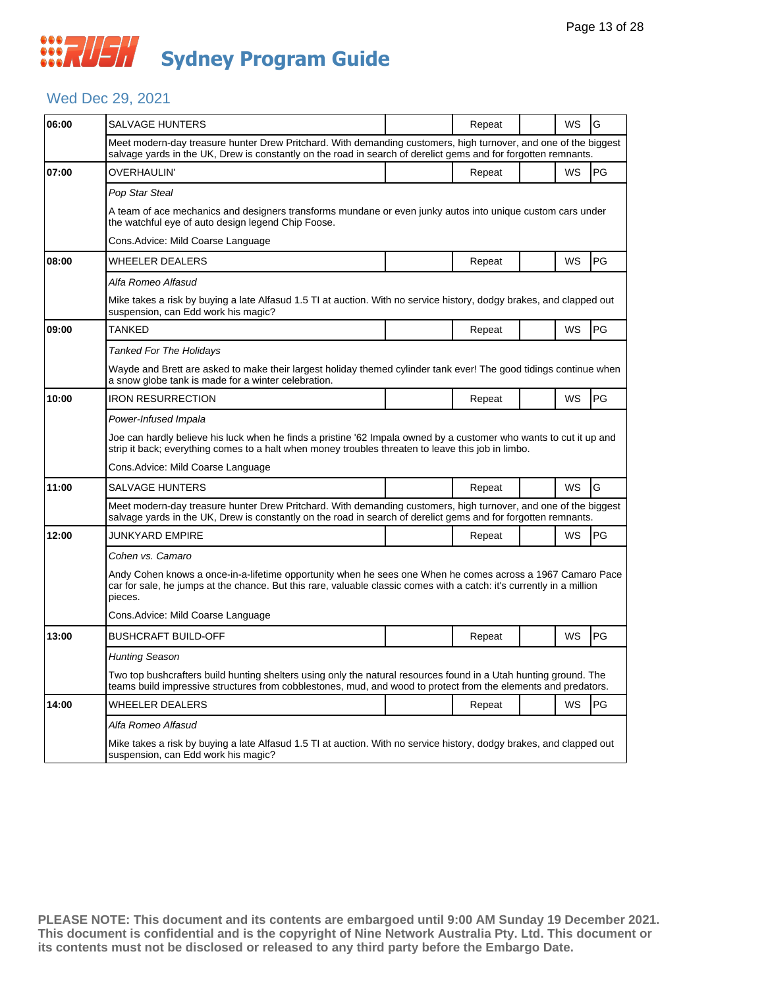#### Wed Dec 29, 2021

| 06:00 | <b>SALVAGE HUNTERS</b>                                                                                                                                                                                                                         |  | Repeat |  | WS | G  |  |  |  |
|-------|------------------------------------------------------------------------------------------------------------------------------------------------------------------------------------------------------------------------------------------------|--|--------|--|----|----|--|--|--|
|       | Meet modern-day treasure hunter Drew Pritchard. With demanding customers, high turnover, and one of the biggest<br>salvage yards in the UK, Drew is constantly on the road in search of derelict gems and for forgotten remnants.              |  |        |  |    |    |  |  |  |
| 07:00 | OVERHAULIN'                                                                                                                                                                                                                                    |  | Repeat |  | WS | PG |  |  |  |
|       | Pop Star Steal                                                                                                                                                                                                                                 |  |        |  |    |    |  |  |  |
|       | A team of ace mechanics and designers transforms mundane or even junky autos into unique custom cars under<br>the watchful eye of auto design legend Chip Foose.                                                                               |  |        |  |    |    |  |  |  |
|       | Cons.Advice: Mild Coarse Language                                                                                                                                                                                                              |  |        |  |    |    |  |  |  |
| 08:00 | <b>WHEELER DEALERS</b>                                                                                                                                                                                                                         |  | Repeat |  | WS | PG |  |  |  |
|       | Alfa Romeo Alfasud                                                                                                                                                                                                                             |  |        |  |    |    |  |  |  |
|       | Mike takes a risk by buying a late Alfasud 1.5 TI at auction. With no service history, dodgy brakes, and clapped out<br>suspension, can Edd work his magic?                                                                                    |  |        |  |    |    |  |  |  |
| 09:00 | TANKED                                                                                                                                                                                                                                         |  | Repeat |  | WS | PG |  |  |  |
|       | Tanked For The Holidays                                                                                                                                                                                                                        |  |        |  |    |    |  |  |  |
|       | Wayde and Brett are asked to make their largest holiday themed cylinder tank ever! The good tidings continue when<br>a snow globe tank is made for a winter celebration.                                                                       |  |        |  |    |    |  |  |  |
| 10:00 | <b>IRON RESURRECTION</b>                                                                                                                                                                                                                       |  | Repeat |  | WS | PG |  |  |  |
|       | Power-Infused Impala                                                                                                                                                                                                                           |  |        |  |    |    |  |  |  |
|       | Joe can hardly believe his luck when he finds a pristine '62 Impala owned by a customer who wants to cut it up and<br>strip it back; everything comes to a halt when money troubles threaten to leave this job in limbo.                       |  |        |  |    |    |  |  |  |
|       | Cons. Advice: Mild Coarse Language                                                                                                                                                                                                             |  |        |  |    |    |  |  |  |
| 11:00 | <b>SALVAGE HUNTERS</b>                                                                                                                                                                                                                         |  | Repeat |  | WS | G  |  |  |  |
|       | Meet modern-day treasure hunter Drew Pritchard. With demanding customers, high turnover, and one of the biggest<br>salvage yards in the UK, Drew is constantly on the road in search of derelict gems and for forgotten remnants.              |  |        |  |    |    |  |  |  |
| 12:00 | <b>JUNKYARD EMPIRE</b>                                                                                                                                                                                                                         |  | Repeat |  | WS | PG |  |  |  |
|       | Cohen vs. Camaro                                                                                                                                                                                                                               |  |        |  |    |    |  |  |  |
|       | Andy Cohen knows a once-in-a-lifetime opportunity when he sees one When he comes across a 1967 Camaro Pace<br>car for sale, he jumps at the chance. But this rare, valuable classic comes with a catch: it's currently in a million<br>pieces. |  |        |  |    |    |  |  |  |
|       | Cons.Advice: Mild Coarse Language                                                                                                                                                                                                              |  |        |  |    |    |  |  |  |
| 13:00 | <b>BUSHCRAFT BUILD-OFF</b>                                                                                                                                                                                                                     |  | Repeat |  | WS | PG |  |  |  |
|       | Hunting Season                                                                                                                                                                                                                                 |  |        |  |    |    |  |  |  |
|       | Two top bushcrafters build hunting shelters using only the natural resources found in a Utah hunting ground. The<br>teams build impressive structures from cobblestones, mud, and wood to protect from the elements and predators.             |  |        |  |    |    |  |  |  |
| 14:00 | <b>WHEELER DEALERS</b>                                                                                                                                                                                                                         |  | Repeat |  | WS | PG |  |  |  |
|       | Alfa Romeo Alfasud                                                                                                                                                                                                                             |  |        |  |    |    |  |  |  |
|       | Mike takes a risk by buying a late Alfasud 1.5 TI at auction. With no service history, dodgy brakes, and clapped out<br>suspension, can Edd work his magic?                                                                                    |  |        |  |    |    |  |  |  |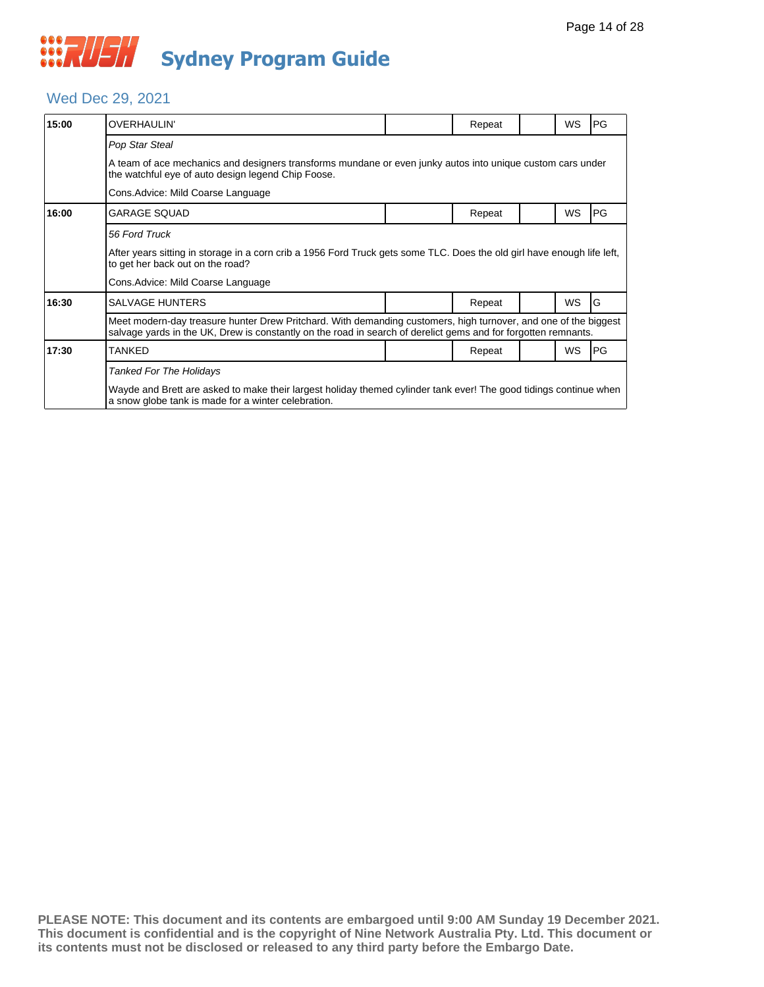#### Wed Dec 29, 2021

| 15:00 | <b>OVERHAULIN'</b>                                                                                                                                                                                                                |                                                                                                            | Repeat |  | WS        | PG |  |  |  |  |
|-------|-----------------------------------------------------------------------------------------------------------------------------------------------------------------------------------------------------------------------------------|------------------------------------------------------------------------------------------------------------|--------|--|-----------|----|--|--|--|--|
|       | Pop Star Steal                                                                                                                                                                                                                    |                                                                                                            |        |  |           |    |  |  |  |  |
|       | the watchful eye of auto design legend Chip Foose.                                                                                                                                                                                | A team of ace mechanics and designers transforms mundane or even junky autos into unique custom cars under |        |  |           |    |  |  |  |  |
|       | Cons. Advice: Mild Coarse Language                                                                                                                                                                                                |                                                                                                            |        |  |           |    |  |  |  |  |
| 16:00 | <b>GARAGE SQUAD</b>                                                                                                                                                                                                               |                                                                                                            | Repeat |  | WS        | PG |  |  |  |  |
|       | 56 Ford Truck<br>After years sitting in storage in a corn crib a 1956 Ford Truck gets some TLC. Does the old girl have enough life left,<br>to get her back out on the road?                                                      |                                                                                                            |        |  |           |    |  |  |  |  |
|       | Cons. Advice: Mild Coarse Language                                                                                                                                                                                                |                                                                                                            |        |  |           |    |  |  |  |  |
| 16:30 | <b>SALVAGE HUNTERS</b>                                                                                                                                                                                                            |                                                                                                            | Repeat |  | <b>WS</b> | G  |  |  |  |  |
|       | Meet modern-day treasure hunter Drew Pritchard. With demanding customers, high turnover, and one of the biggest<br>salvage yards in the UK, Drew is constantly on the road in search of derelict gems and for forgotten remnants. |                                                                                                            |        |  |           |    |  |  |  |  |
| 17:30 | <b>TANKED</b>                                                                                                                                                                                                                     |                                                                                                            | Repeat |  | <b>WS</b> | PG |  |  |  |  |
|       | <b>Tanked For The Holidays</b><br>Wayde and Brett are asked to make their largest holiday themed cylinder tank ever! The good tidings continue when<br>a snow globe tank is made for a winter celebration.                        |                                                                                                            |        |  |           |    |  |  |  |  |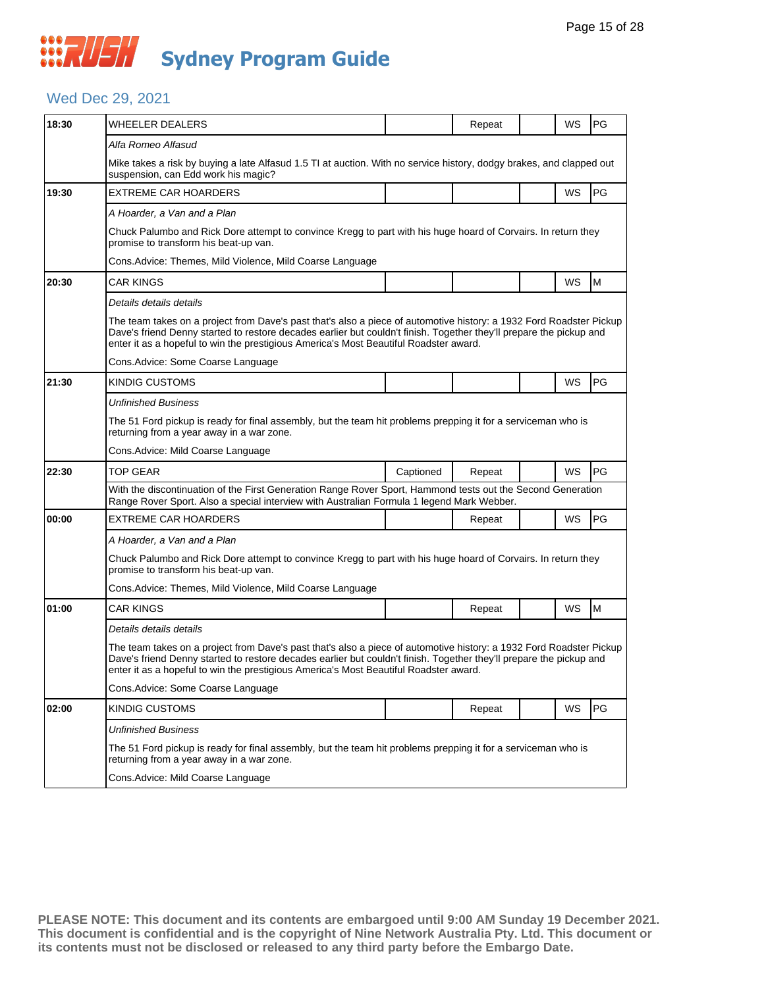#### Wed Dec 29, 2021

| 18:30 | WHEELER DEALERS                                                                                                                                                                                                                                                                                                                     |           | Repeat |  | WS        | PG |  |  |  |
|-------|-------------------------------------------------------------------------------------------------------------------------------------------------------------------------------------------------------------------------------------------------------------------------------------------------------------------------------------|-----------|--------|--|-----------|----|--|--|--|
|       | Alfa Romeo Alfasud                                                                                                                                                                                                                                                                                                                  |           |        |  |           |    |  |  |  |
|       | Mike takes a risk by buying a late Alfasud 1.5 TI at auction. With no service history, dodgy brakes, and clapped out<br>suspension, can Edd work his magic?                                                                                                                                                                         |           |        |  |           |    |  |  |  |
| 19:30 | <b>EXTREME CAR HOARDERS</b>                                                                                                                                                                                                                                                                                                         |           |        |  | WS        | PG |  |  |  |
|       | A Hoarder, a Van and a Plan                                                                                                                                                                                                                                                                                                         |           |        |  |           |    |  |  |  |
|       | Chuck Palumbo and Rick Dore attempt to convince Kregg to part with his huge hoard of Corvairs. In return they<br>promise to transform his beat-up van.                                                                                                                                                                              |           |        |  |           |    |  |  |  |
|       | Cons.Advice: Themes, Mild Violence, Mild Coarse Language                                                                                                                                                                                                                                                                            |           |        |  |           |    |  |  |  |
| 20:30 | <b>CAR KINGS</b>                                                                                                                                                                                                                                                                                                                    |           |        |  | WS        | M  |  |  |  |
|       | Details details details                                                                                                                                                                                                                                                                                                             |           |        |  |           |    |  |  |  |
|       | The team takes on a project from Dave's past that's also a piece of automotive history: a 1932 Ford Roadster Pickup<br>Dave's friend Denny started to restore decades earlier but couldn't finish. Together they'll prepare the pickup and<br>enter it as a hopeful to win the prestigious America's Most Beautiful Roadster award. |           |        |  |           |    |  |  |  |
|       | Cons.Advice: Some Coarse Language                                                                                                                                                                                                                                                                                                   |           |        |  |           |    |  |  |  |
| 21:30 | KINDIG CUSTOMS                                                                                                                                                                                                                                                                                                                      |           |        |  | WS        | PG |  |  |  |
|       | Unfinished Business                                                                                                                                                                                                                                                                                                                 |           |        |  |           |    |  |  |  |
|       | The 51 Ford pickup is ready for final assembly, but the team hit problems prepping it for a serviceman who is<br>returning from a year away in a war zone.                                                                                                                                                                          |           |        |  |           |    |  |  |  |
|       | Cons. Advice: Mild Coarse Language                                                                                                                                                                                                                                                                                                  |           |        |  |           |    |  |  |  |
| 22:30 | TOP GEAR                                                                                                                                                                                                                                                                                                                            | Captioned | Repeat |  | WS        | PG |  |  |  |
|       | With the discontinuation of the First Generation Range Rover Sport, Hammond tests out the Second Generation<br>Range Rover Sport. Also a special interview with Australian Formula 1 legend Mark Webber.                                                                                                                            |           |        |  |           |    |  |  |  |
| 00:00 | EXTREME CAR HOARDERS                                                                                                                                                                                                                                                                                                                |           | Repeat |  | <b>WS</b> | PG |  |  |  |
|       | A Hoarder, a Van and a Plan                                                                                                                                                                                                                                                                                                         |           |        |  |           |    |  |  |  |
|       | Chuck Palumbo and Rick Dore attempt to convince Kregg to part with his huge hoard of Corvairs. In return they<br>promise to transform his beat-up van.                                                                                                                                                                              |           |        |  |           |    |  |  |  |
|       | Cons.Advice: Themes, Mild Violence, Mild Coarse Language                                                                                                                                                                                                                                                                            |           |        |  |           |    |  |  |  |
| 01:00 | CAR KINGS                                                                                                                                                                                                                                                                                                                           |           | Repeat |  | WS        | M  |  |  |  |
|       | Details details details                                                                                                                                                                                                                                                                                                             |           |        |  |           |    |  |  |  |
|       | The team takes on a project from Dave's past that's also a piece of automotive history: a 1932 Ford Roadster Pickup<br>Dave's friend Denny started to restore decades earlier but couldn't finish. Together they'll prepare the pickup and<br>enter it as a hopeful to win the prestigious America's Most Beautiful Roadster award. |           |        |  |           |    |  |  |  |
|       | Cons.Advice: Some Coarse Language                                                                                                                                                                                                                                                                                                   |           |        |  |           |    |  |  |  |
| 02:00 | KINDIG CUSTOMS                                                                                                                                                                                                                                                                                                                      |           | Repeat |  | WS        | PG |  |  |  |
|       | <b>Unfinished Business</b>                                                                                                                                                                                                                                                                                                          |           |        |  |           |    |  |  |  |
|       | The 51 Ford pickup is ready for final assembly, but the team hit problems prepping it for a serviceman who is<br>returning from a year away in a war zone.                                                                                                                                                                          |           |        |  |           |    |  |  |  |
|       | Cons.Advice: Mild Coarse Language                                                                                                                                                                                                                                                                                                   |           |        |  |           |    |  |  |  |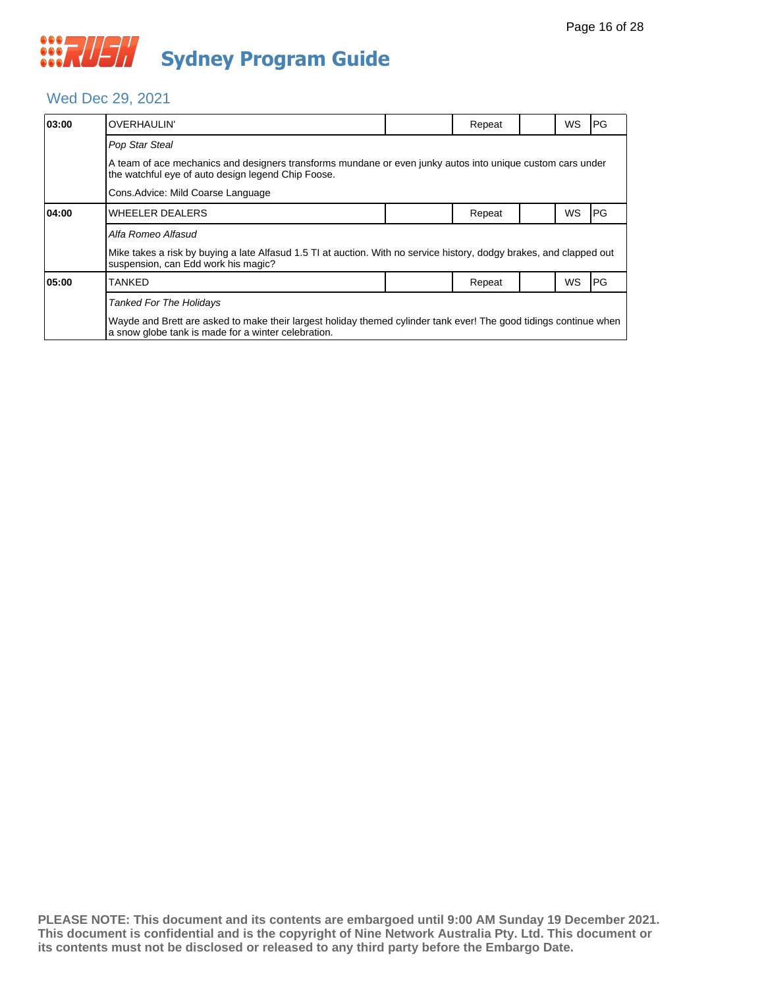#### Wed Dec 29, 2021

| 03:00                                                                                                                                                            | <b>OVERHAULIN'</b>                                                                                                                                                       |  | Repeat |  | WS | PG        |  |  |  |
|------------------------------------------------------------------------------------------------------------------------------------------------------------------|--------------------------------------------------------------------------------------------------------------------------------------------------------------------------|--|--------|--|----|-----------|--|--|--|
|                                                                                                                                                                  | Pop Star Steal                                                                                                                                                           |  |        |  |    |           |  |  |  |
| A team of ace mechanics and designers transforms mundane or even junky autos into unique custom cars under<br>the watchful eye of auto design legend Chip Foose. |                                                                                                                                                                          |  |        |  |    |           |  |  |  |
|                                                                                                                                                                  | Cons. Advice: Mild Coarse Language                                                                                                                                       |  |        |  |    |           |  |  |  |
| 04:00                                                                                                                                                            | <b>WHEELER DEALERS</b>                                                                                                                                                   |  | Repeat |  | WS | IPG.      |  |  |  |
|                                                                                                                                                                  | Alfa Romeo Alfasud                                                                                                                                                       |  |        |  |    |           |  |  |  |
|                                                                                                                                                                  | Mike takes a risk by buying a late Alfasud 1.5 TI at auction. With no service history, dodgy brakes, and clapped out<br>suspension, can Edd work his magic?              |  |        |  |    |           |  |  |  |
| 05:00                                                                                                                                                            | TANKED                                                                                                                                                                   |  | Repeat |  | WS | <b>PG</b> |  |  |  |
|                                                                                                                                                                  | <b>Tanked For The Holidays</b>                                                                                                                                           |  |        |  |    |           |  |  |  |
|                                                                                                                                                                  | Wayde and Brett are asked to make their largest holiday themed cylinder tank ever! The good tidings continue when<br>a snow globe tank is made for a winter celebration. |  |        |  |    |           |  |  |  |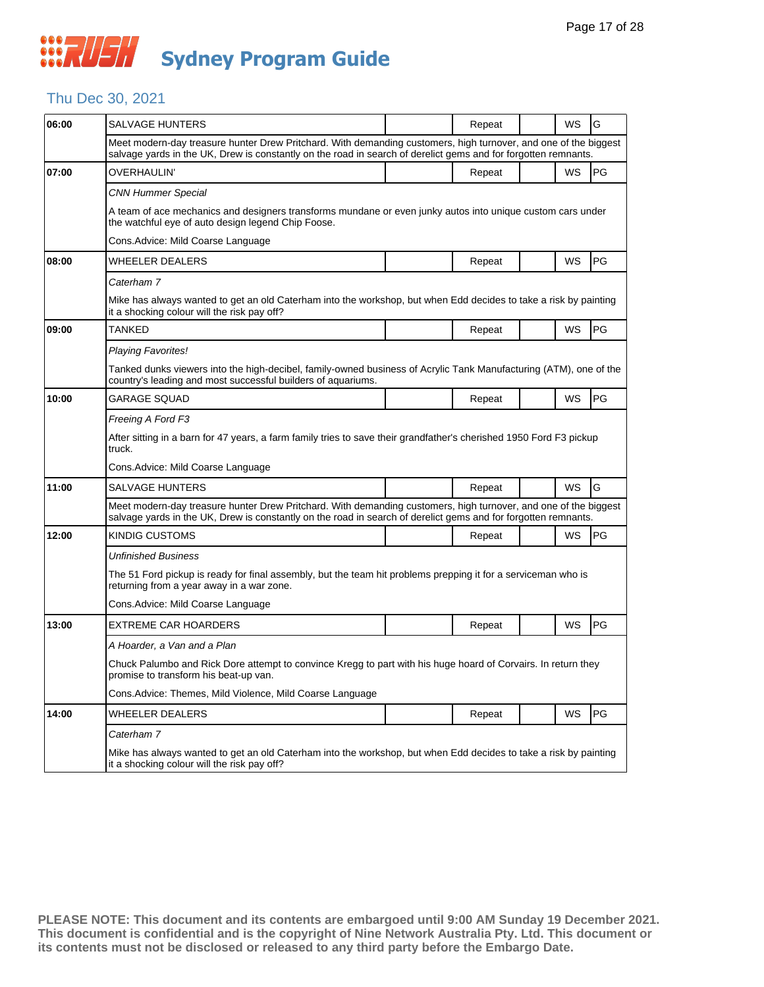## Thu Dec 30, 2021

| 06:00 | <b>SALVAGE HUNTERS</b>                                                                                                                                                                                                            |  | Repeat |  | WS | G  |  |  |
|-------|-----------------------------------------------------------------------------------------------------------------------------------------------------------------------------------------------------------------------------------|--|--------|--|----|----|--|--|
|       | Meet modern-day treasure hunter Drew Pritchard. With demanding customers, high turnover, and one of the biggest<br>salvage yards in the UK, Drew is constantly on the road in search of derelict gems and for forgotten remnants. |  |        |  |    |    |  |  |
| 07:00 | OVERHAULIN'                                                                                                                                                                                                                       |  | Repeat |  | WS | PG |  |  |
|       | CNN Hummer Special                                                                                                                                                                                                                |  |        |  |    |    |  |  |
|       | A team of ace mechanics and designers transforms mundane or even junky autos into unique custom cars under<br>the watchful eye of auto design legend Chip Foose.                                                                  |  |        |  |    |    |  |  |
|       | Cons. Advice: Mild Coarse Language                                                                                                                                                                                                |  |        |  |    |    |  |  |
| 08:00 | WHEELER DEALERS                                                                                                                                                                                                                   |  | Repeat |  | WS | PG |  |  |
|       | Caterham 7                                                                                                                                                                                                                        |  |        |  |    |    |  |  |
|       | Mike has always wanted to get an old Caterham into the workshop, but when Edd decides to take a risk by painting<br>it a shocking colour will the risk pay off?                                                                   |  |        |  |    |    |  |  |
| 09:00 | TANKED                                                                                                                                                                                                                            |  | Repeat |  | WS | PG |  |  |
|       | Playing Favorites!                                                                                                                                                                                                                |  |        |  |    |    |  |  |
|       | Tanked dunks viewers into the high-decibel, family-owned business of Acrylic Tank Manufacturing (ATM), one of the<br>country's leading and most successful builders of aquariums.                                                 |  |        |  |    |    |  |  |
| 10:00 | GARAGE SQUAD                                                                                                                                                                                                                      |  | Repeat |  | WS | PG |  |  |
|       | Freeing A Ford F3                                                                                                                                                                                                                 |  |        |  |    |    |  |  |
|       | After sitting in a barn for 47 years, a farm family tries to save their grandfather's cherished 1950 Ford F3 pickup<br>truck.                                                                                                     |  |        |  |    |    |  |  |
|       | Cons. Advice: Mild Coarse Language                                                                                                                                                                                                |  |        |  |    |    |  |  |
| 11:00 | <b>SALVAGE HUNTERS</b>                                                                                                                                                                                                            |  | Repeat |  | WS | G  |  |  |
|       | Meet modern-day treasure hunter Drew Pritchard. With demanding customers, high turnover, and one of the biggest<br>salvage yards in the UK, Drew is constantly on the road in search of derelict gems and for forgotten remnants. |  |        |  |    |    |  |  |
| 12:00 | KINDIG CUSTOMS                                                                                                                                                                                                                    |  | Repeat |  | WS | PG |  |  |
|       | Unfinished Business                                                                                                                                                                                                               |  |        |  |    |    |  |  |
|       | The 51 Ford pickup is ready for final assembly, but the team hit problems prepping it for a serviceman who is<br>returning from a year away in a war zone.                                                                        |  |        |  |    |    |  |  |
|       | Cons.Advice: Mild Coarse Language                                                                                                                                                                                                 |  |        |  |    |    |  |  |
| 13:00 | <b>EXTREME CAR HOARDERS</b>                                                                                                                                                                                                       |  | Repeat |  | WS | PG |  |  |
|       | A Hoarder, a Van and a Plan                                                                                                                                                                                                       |  |        |  |    |    |  |  |
|       | Chuck Palumbo and Rick Dore attempt to convince Kregg to part with his huge hoard of Corvairs. In return they<br>promise to transform his beat-up van.                                                                            |  |        |  |    |    |  |  |
|       | Cons. Advice: Themes, Mild Violence, Mild Coarse Language                                                                                                                                                                         |  |        |  |    |    |  |  |
| 14:00 | <b>WHEELER DEALERS</b>                                                                                                                                                                                                            |  | Repeat |  | WS | PG |  |  |
|       | Caterham 7                                                                                                                                                                                                                        |  |        |  |    |    |  |  |
|       | Mike has always wanted to get an old Caterham into the workshop, but when Edd decides to take a risk by painting<br>it a shocking colour will the risk pay off?                                                                   |  |        |  |    |    |  |  |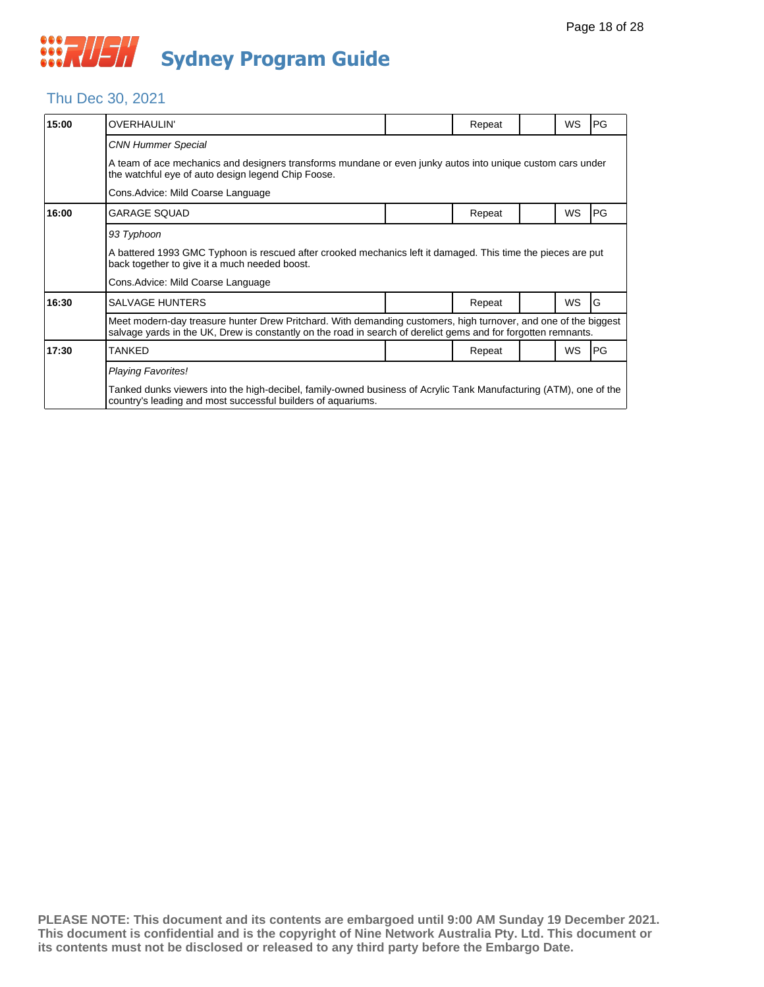#### Thu Dec 30, 2021

| 15:00 | <b>OVERHAULIN'</b>                                                                                                                                                                                                                |                                                                                                            | Repeat |  | WS        | PG |  |  |  |  |
|-------|-----------------------------------------------------------------------------------------------------------------------------------------------------------------------------------------------------------------------------------|------------------------------------------------------------------------------------------------------------|--------|--|-----------|----|--|--|--|--|
|       | <b>CNN Hummer Special</b>                                                                                                                                                                                                         |                                                                                                            |        |  |           |    |  |  |  |  |
|       | the watchful eye of auto design legend Chip Foose.                                                                                                                                                                                | A team of ace mechanics and designers transforms mundane or even junky autos into unique custom cars under |        |  |           |    |  |  |  |  |
|       |                                                                                                                                                                                                                                   |                                                                                                            |        |  |           |    |  |  |  |  |
| 16:00 | <b>GARAGE SQUAD</b>                                                                                                                                                                                                               |                                                                                                            | Repeat |  | WS        | PG |  |  |  |  |
|       | 93 Typhoon                                                                                                                                                                                                                        |                                                                                                            |        |  |           |    |  |  |  |  |
|       | A battered 1993 GMC Typhoon is rescued after crooked mechanics left it damaged. This time the pieces are put<br>back together to give it a much needed boost.                                                                     |                                                                                                            |        |  |           |    |  |  |  |  |
|       | Cons. Advice: Mild Coarse Language                                                                                                                                                                                                |                                                                                                            |        |  |           |    |  |  |  |  |
| 16:30 | <b>SALVAGE HUNTERS</b>                                                                                                                                                                                                            |                                                                                                            | Repeat |  | <b>WS</b> | G  |  |  |  |  |
|       | Meet modern-day treasure hunter Drew Pritchard. With demanding customers, high turnover, and one of the biggest<br>salvage yards in the UK, Drew is constantly on the road in search of derelict gems and for forgotten remnants. |                                                                                                            |        |  |           |    |  |  |  |  |
| 17:30 | <b>TANKED</b>                                                                                                                                                                                                                     |                                                                                                            | Repeat |  | <b>WS</b> | PG |  |  |  |  |
|       | <b>Playing Favorites!</b>                                                                                                                                                                                                         |                                                                                                            |        |  |           |    |  |  |  |  |
|       | Tanked dunks viewers into the high-decibel, family-owned business of Acrylic Tank Manufacturing (ATM), one of the<br>country's leading and most successful builders of aquariums.                                                 |                                                                                                            |        |  |           |    |  |  |  |  |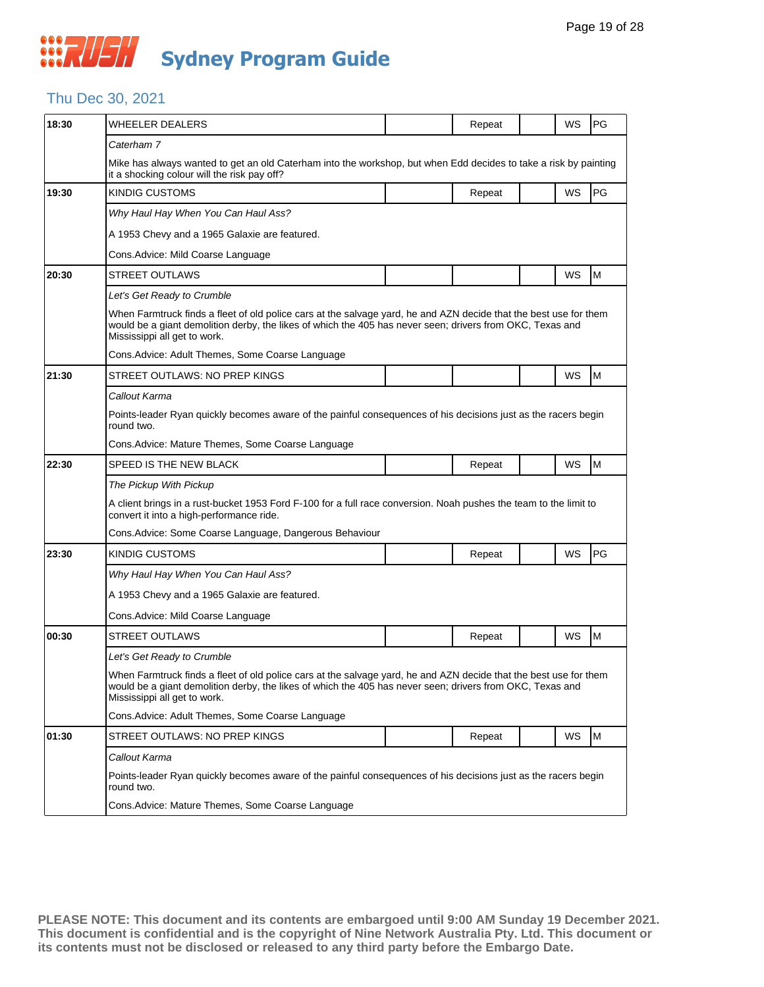#### Thu Dec 30, 2021

| 18:30 | <b>WHEELER DEALERS</b>                                                                                                                                                                                                                                         |  | Repeat |  | WS | PG |  |  |  |
|-------|----------------------------------------------------------------------------------------------------------------------------------------------------------------------------------------------------------------------------------------------------------------|--|--------|--|----|----|--|--|--|
|       | Caterham 7                                                                                                                                                                                                                                                     |  |        |  |    |    |  |  |  |
|       | Mike has always wanted to get an old Caterham into the workshop, but when Edd decides to take a risk by painting<br>it a shocking colour will the risk pay off?                                                                                                |  |        |  |    |    |  |  |  |
| 19:30 | <b>KINDIG CUSTOMS</b>                                                                                                                                                                                                                                          |  | Repeat |  | WS | PG |  |  |  |
|       | Why Haul Hay When You Can Haul Ass?                                                                                                                                                                                                                            |  |        |  |    |    |  |  |  |
|       | A 1953 Chevy and a 1965 Galaxie are featured.                                                                                                                                                                                                                  |  |        |  |    |    |  |  |  |
|       | Cons. Advice: Mild Coarse Language                                                                                                                                                                                                                             |  |        |  |    |    |  |  |  |
| 20:30 | <b>STREET OUTLAWS</b>                                                                                                                                                                                                                                          |  |        |  | WS | M  |  |  |  |
|       | Let's Get Ready to Crumble                                                                                                                                                                                                                                     |  |        |  |    |    |  |  |  |
|       | When Farmtruck finds a fleet of old police cars at the salvage yard, he and AZN decide that the best use for them<br>would be a giant demolition derby, the likes of which the 405 has never seen; drivers from OKC, Texas and<br>Mississippi all get to work. |  |        |  |    |    |  |  |  |
|       | Cons. Advice: Adult Themes, Some Coarse Language                                                                                                                                                                                                               |  |        |  |    |    |  |  |  |
| 21:30 | STREET OUTLAWS: NO PREP KINGS                                                                                                                                                                                                                                  |  |        |  | WS | M  |  |  |  |
|       | Callout Karma                                                                                                                                                                                                                                                  |  |        |  |    |    |  |  |  |
|       | Points-leader Ryan quickly becomes aware of the painful consequences of his decisions just as the racers begin<br>round two.                                                                                                                                   |  |        |  |    |    |  |  |  |
|       | Cons.Advice: Mature Themes, Some Coarse Language                                                                                                                                                                                                               |  |        |  |    |    |  |  |  |
| 22:30 | SPEED IS THE NEW BLACK                                                                                                                                                                                                                                         |  | Repeat |  | WS | M  |  |  |  |
|       | The Pickup With Pickup                                                                                                                                                                                                                                         |  |        |  |    |    |  |  |  |
|       | A client brings in a rust-bucket 1953 Ford F-100 for a full race conversion. Noah pushes the team to the limit to<br>convert it into a high-performance ride.                                                                                                  |  |        |  |    |    |  |  |  |
|       | Cons.Advice: Some Coarse Language, Dangerous Behaviour                                                                                                                                                                                                         |  |        |  |    |    |  |  |  |
| 23:30 | KINDIG CUSTOMS                                                                                                                                                                                                                                                 |  | Repeat |  | WS | PG |  |  |  |
|       | Why Haul Hay When You Can Haul Ass?                                                                                                                                                                                                                            |  |        |  |    |    |  |  |  |
|       | A 1953 Chevy and a 1965 Galaxie are featured.                                                                                                                                                                                                                  |  |        |  |    |    |  |  |  |
|       | Cons. Advice: Mild Coarse Language                                                                                                                                                                                                                             |  |        |  |    |    |  |  |  |
| 00:30 | <b>STREET OUTLAWS</b>                                                                                                                                                                                                                                          |  | Repeat |  | WS | M  |  |  |  |
|       | Let's Get Ready to Crumble                                                                                                                                                                                                                                     |  |        |  |    |    |  |  |  |
|       | When Farmtruck finds a fleet of old police cars at the salvage yard, he and AZN decide that the best use for them<br>would be a giant demolition derby, the likes of which the 405 has never seen; drivers from OKC, Texas and<br>Mississippi all get to work. |  |        |  |    |    |  |  |  |
|       | Cons. Advice: Adult Themes, Some Coarse Language                                                                                                                                                                                                               |  |        |  |    |    |  |  |  |
| 01:30 | STREET OUTLAWS: NO PREP KINGS                                                                                                                                                                                                                                  |  | Repeat |  | WS | M  |  |  |  |
|       | Callout Karma                                                                                                                                                                                                                                                  |  |        |  |    |    |  |  |  |
|       | Points-leader Ryan quickly becomes aware of the painful consequences of his decisions just as the racers begin<br>round two.                                                                                                                                   |  |        |  |    |    |  |  |  |
|       | Cons. Advice: Mature Themes, Some Coarse Language                                                                                                                                                                                                              |  |        |  |    |    |  |  |  |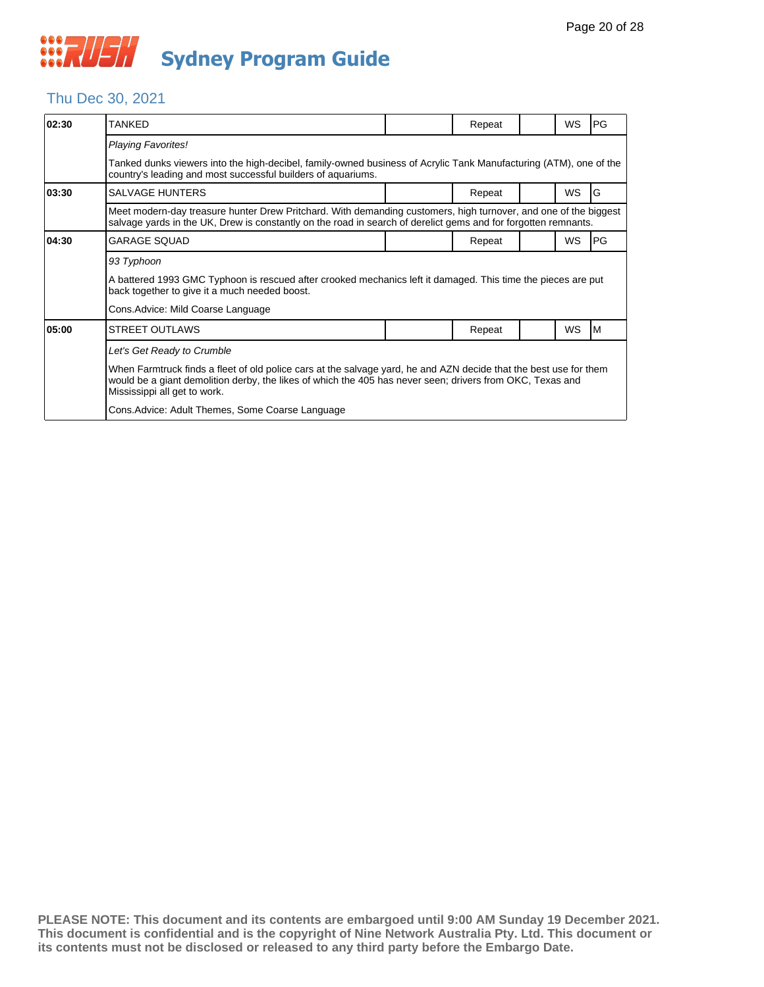#### Thu Dec 30, 2021

| 02:30 | TANKFD                                                                                                                                                                                                                                                         |  | Repeat |  | WS        | PG |  |  |  |
|-------|----------------------------------------------------------------------------------------------------------------------------------------------------------------------------------------------------------------------------------------------------------------|--|--------|--|-----------|----|--|--|--|
|       | <b>Playing Favorites!</b>                                                                                                                                                                                                                                      |  |        |  |           |    |  |  |  |
|       | Tanked dunks viewers into the high-decibel, family-owned business of Acrylic Tank Manufacturing (ATM), one of the<br>country's leading and most successful builders of aquariums.                                                                              |  |        |  |           |    |  |  |  |
| 03:30 | <b>SALVAGE HUNTERS</b>                                                                                                                                                                                                                                         |  | Repeat |  | <b>WS</b> | ΙG |  |  |  |
|       | Meet modern-day treasure hunter Drew Pritchard. With demanding customers, high turnover, and one of the biggest<br>salvage yards in the UK, Drew is constantly on the road in search of derelict gems and for forgotten remnants.                              |  |        |  |           |    |  |  |  |
| 04:30 | <b>GARAGE SQUAD</b>                                                                                                                                                                                                                                            |  | Repeat |  | <b>WS</b> | PG |  |  |  |
|       | 93 Typhoon                                                                                                                                                                                                                                                     |  |        |  |           |    |  |  |  |
|       | A battered 1993 GMC Typhoon is rescued after crooked mechanics left it damaged. This time the pieces are put<br>back together to give it a much needed boost.                                                                                                  |  |        |  |           |    |  |  |  |
|       | Cons.Advice: Mild Coarse Language                                                                                                                                                                                                                              |  |        |  |           |    |  |  |  |
| 05:00 | <b>STREET OUTLAWS</b>                                                                                                                                                                                                                                          |  | Repeat |  | <b>WS</b> | M  |  |  |  |
|       | Let's Get Ready to Crumble                                                                                                                                                                                                                                     |  |        |  |           |    |  |  |  |
|       | When Farmtruck finds a fleet of old police cars at the salvage yard, he and AZN decide that the best use for them<br>would be a giant demolition derby, the likes of which the 405 has never seen; drivers from OKC, Texas and<br>Mississippi all get to work. |  |        |  |           |    |  |  |  |
|       | Cons. Advice: Adult Themes, Some Coarse Language                                                                                                                                                                                                               |  |        |  |           |    |  |  |  |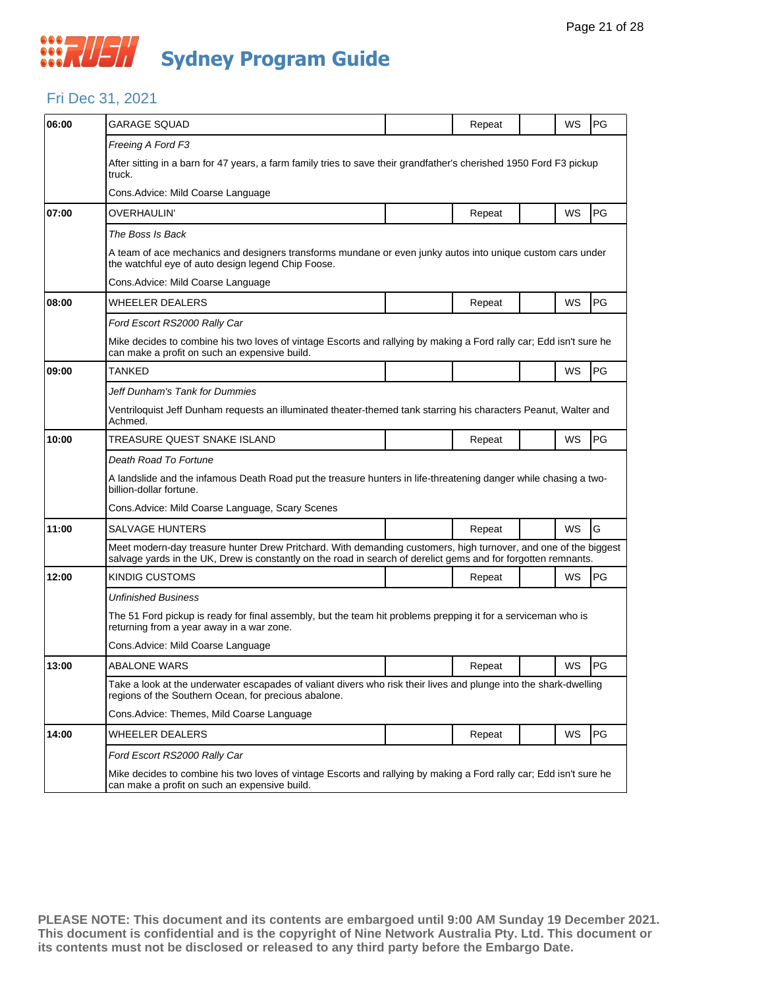#### Fri Dec 31, 2021

| 06:00 | <b>GARAGE SQUAD</b>                                                                                                                                                                                                               |  | Repeat |  | WS        | PG |  |  |  |
|-------|-----------------------------------------------------------------------------------------------------------------------------------------------------------------------------------------------------------------------------------|--|--------|--|-----------|----|--|--|--|
|       | Freeing A Ford F3                                                                                                                                                                                                                 |  |        |  |           |    |  |  |  |
|       | After sitting in a barn for 47 years, a farm family tries to save their grandfather's cherished 1950 Ford F3 pickup<br>truck.                                                                                                     |  |        |  |           |    |  |  |  |
|       | Cons. Advice: Mild Coarse Language                                                                                                                                                                                                |  |        |  |           |    |  |  |  |
| 07:00 | OVERHAULIN'                                                                                                                                                                                                                       |  | Repeat |  | WS        | PG |  |  |  |
|       | The Boss Is Back                                                                                                                                                                                                                  |  |        |  |           |    |  |  |  |
|       | A team of ace mechanics and designers transforms mundane or even junky autos into unique custom cars under<br>the watchful eye of auto design legend Chip Foose.                                                                  |  |        |  |           |    |  |  |  |
|       | Cons. Advice: Mild Coarse Language                                                                                                                                                                                                |  |        |  |           |    |  |  |  |
| 08:00 | WHEELER DEALERS                                                                                                                                                                                                                   |  | Repeat |  | WS        | PG |  |  |  |
|       | Ford Escort RS2000 Rally Car                                                                                                                                                                                                      |  |        |  |           |    |  |  |  |
|       | Mike decides to combine his two loves of vintage Escorts and rallying by making a Ford rally car; Edd isn't sure he<br>can make a profit on such an expensive build.                                                              |  |        |  |           |    |  |  |  |
| 09:00 | <b>TANKED</b>                                                                                                                                                                                                                     |  |        |  | WS        | PG |  |  |  |
|       | Jeff Dunham's Tank for Dummies                                                                                                                                                                                                    |  |        |  |           |    |  |  |  |
|       | Ventriloquist Jeff Dunham requests an illuminated theater-themed tank starring his characters Peanut, Walter and<br>Achmed.                                                                                                       |  |        |  |           |    |  |  |  |
| 10:00 | TREASURE QUEST SNAKE ISLAND                                                                                                                                                                                                       |  | Repeat |  | WS        | PG |  |  |  |
|       | Death Road To Fortune                                                                                                                                                                                                             |  |        |  |           |    |  |  |  |
|       | A landslide and the infamous Death Road put the treasure hunters in life-threatening danger while chasing a two-<br>billion-dollar fortune.                                                                                       |  |        |  |           |    |  |  |  |
|       | Cons. Advice: Mild Coarse Language, Scary Scenes                                                                                                                                                                                  |  |        |  |           |    |  |  |  |
| 11:00 | <b>SALVAGE HUNTERS</b>                                                                                                                                                                                                            |  | Repeat |  | <b>WS</b> | G  |  |  |  |
|       | Meet modern-day treasure hunter Drew Pritchard. With demanding customers, high turnover, and one of the biggest<br>salvage yards in the UK, Drew is constantly on the road in search of derelict gems and for forgotten remnants. |  |        |  |           |    |  |  |  |
| 12:00 | KINDIG CUSTOMS                                                                                                                                                                                                                    |  | Repeat |  | WS        | PG |  |  |  |
|       | Unfinished Business                                                                                                                                                                                                               |  |        |  |           |    |  |  |  |
|       | The 51 Ford pickup is ready for final assembly, but the team hit problems prepping it for a serviceman who is<br>returning from a year away in a war zone.                                                                        |  |        |  |           |    |  |  |  |
|       | Cons.Advice: Mild Coarse Language                                                                                                                                                                                                 |  |        |  |           |    |  |  |  |
| 13:00 | <b>ABALONE WARS</b>                                                                                                                                                                                                               |  | Repeat |  | WS        | PG |  |  |  |
|       | Take a look at the underwater escapades of valiant divers who risk their lives and plunge into the shark-dwelling<br>regions of the Southern Ocean, for precious abalone.                                                         |  |        |  |           |    |  |  |  |
|       | Cons.Advice: Themes, Mild Coarse Language                                                                                                                                                                                         |  |        |  |           |    |  |  |  |
| 14:00 | WHEELER DEALERS                                                                                                                                                                                                                   |  | Repeat |  | WS        | PG |  |  |  |
|       | Ford Escort RS2000 Rally Car                                                                                                                                                                                                      |  |        |  |           |    |  |  |  |
|       | Mike decides to combine his two loves of vintage Escorts and rallying by making a Ford rally car; Edd isn't sure he<br>can make a profit on such an expensive build.                                                              |  |        |  |           |    |  |  |  |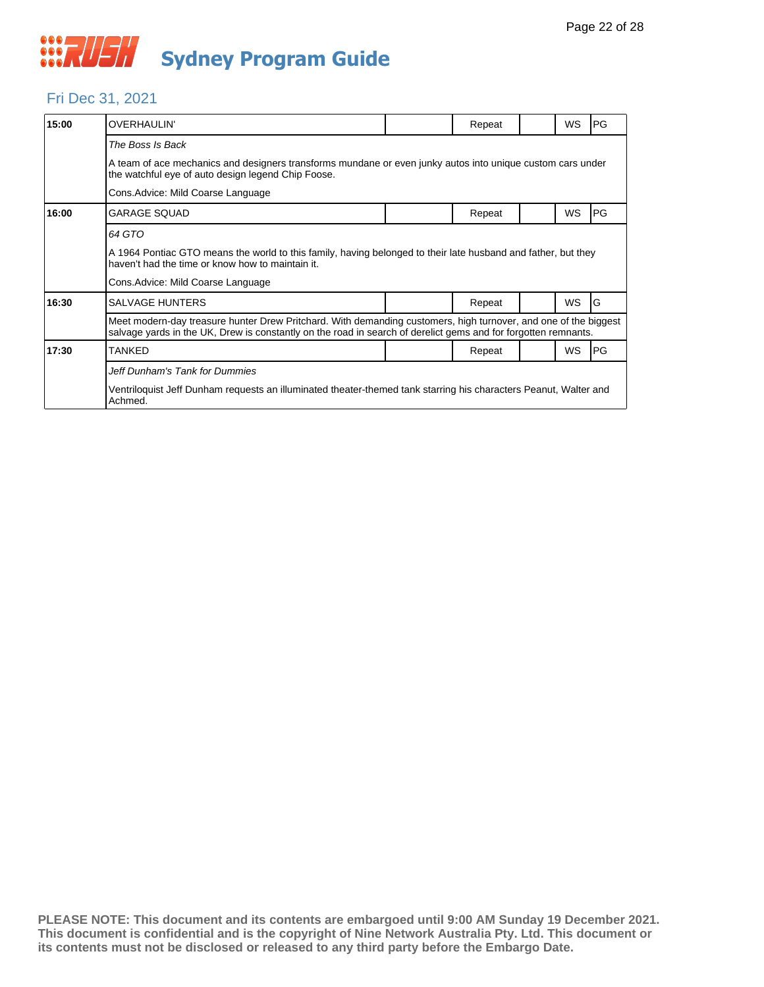

#### Fri Dec 31, 2021

| 15:00 | <b>OVERHAULIN'</b>                                                                                                                                                                                                                |  | Repeat |  | <b>WS</b> | PG |  |  |  |
|-------|-----------------------------------------------------------------------------------------------------------------------------------------------------------------------------------------------------------------------------------|--|--------|--|-----------|----|--|--|--|
|       | The Boss Is Back                                                                                                                                                                                                                  |  |        |  |           |    |  |  |  |
|       | A team of ace mechanics and designers transforms mundane or even junky autos into unique custom cars under<br>the watchful eye of auto design legend Chip Foose.                                                                  |  |        |  |           |    |  |  |  |
|       | Cons. Advice: Mild Coarse Language                                                                                                                                                                                                |  |        |  |           |    |  |  |  |
| 16:00 | <b>GARAGE SQUAD</b>                                                                                                                                                                                                               |  | Repeat |  | <b>WS</b> | PG |  |  |  |
|       | 64 GTO                                                                                                                                                                                                                            |  |        |  |           |    |  |  |  |
|       | A 1964 Pontiac GTO means the world to this family, having belonged to their late husband and father, but they<br>haven't had the time or know how to maintain it.                                                                 |  |        |  |           |    |  |  |  |
|       | Cons. Advice: Mild Coarse Language                                                                                                                                                                                                |  |        |  |           |    |  |  |  |
| 16:30 | <b>SALVAGE HUNTERS</b>                                                                                                                                                                                                            |  | Repeat |  | <b>WS</b> | G  |  |  |  |
|       | Meet modern-day treasure hunter Drew Pritchard. With demanding customers, high turnover, and one of the biggest<br>salvage yards in the UK, Drew is constantly on the road in search of derelict gems and for forgotten remnants. |  |        |  |           |    |  |  |  |
| 17:30 | TANKED                                                                                                                                                                                                                            |  | Repeat |  | WS        | PG |  |  |  |
|       | Jeff Dunham's Tank for Dummies                                                                                                                                                                                                    |  |        |  |           |    |  |  |  |
|       | Ventriloquist Jeff Dunham requests an illuminated theater-themed tank starring his characters Peanut, Walter and<br>Achmed.                                                                                                       |  |        |  |           |    |  |  |  |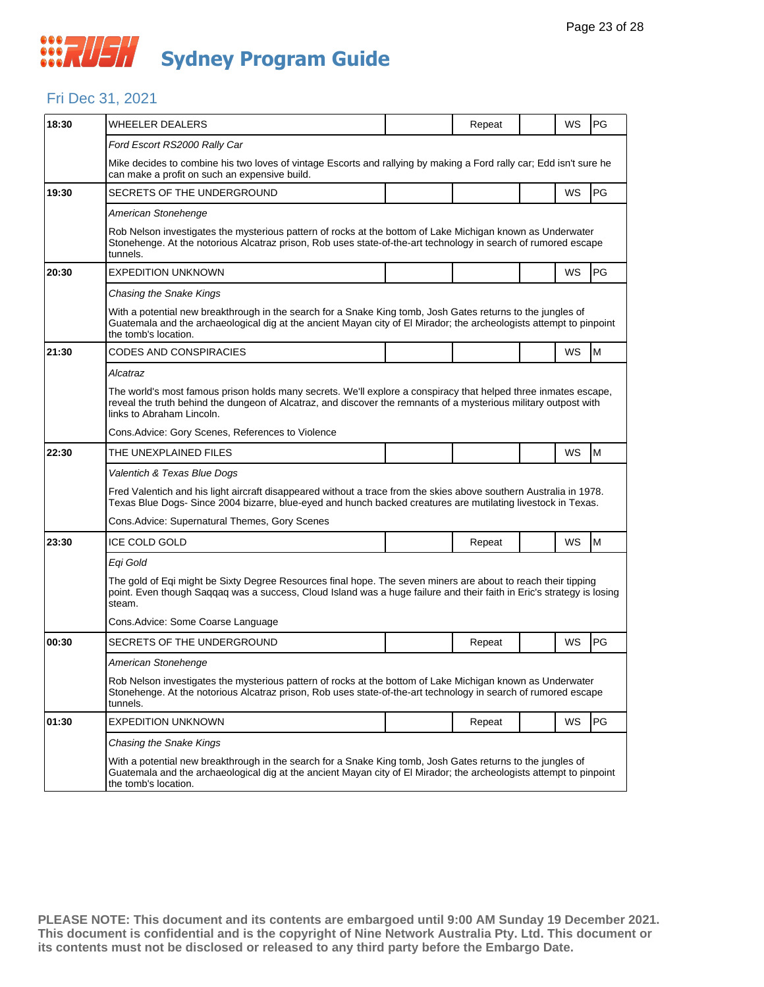#### Fri Dec 31, 2021

| 18:30 | <b>WHEELER DEALERS</b>                                                                                                                                                                                                                                           |  | Repeat |  | WS        | PG |  |  |  |
|-------|------------------------------------------------------------------------------------------------------------------------------------------------------------------------------------------------------------------------------------------------------------------|--|--------|--|-----------|----|--|--|--|
|       | Ford Escort RS2000 Rally Car                                                                                                                                                                                                                                     |  |        |  |           |    |  |  |  |
|       | Mike decides to combine his two loves of vintage Escorts and rallying by making a Ford rally car; Edd isn't sure he<br>can make a profit on such an expensive build.                                                                                             |  |        |  |           |    |  |  |  |
| 19:30 | SECRETS OF THE UNDERGROUND                                                                                                                                                                                                                                       |  |        |  | WS        | PG |  |  |  |
|       | American Stonehenge                                                                                                                                                                                                                                              |  |        |  |           |    |  |  |  |
|       | Rob Nelson investigates the mysterious pattern of rocks at the bottom of Lake Michigan known as Underwater<br>Stonehenge. At the notorious Alcatraz prison, Rob uses state-of-the-art technology in search of rumored escape<br>tunnels.                         |  |        |  |           |    |  |  |  |
| 20:30 | <b>EXPEDITION UNKNOWN</b>                                                                                                                                                                                                                                        |  |        |  | WS        | PG |  |  |  |
|       | Chasing the Snake Kings                                                                                                                                                                                                                                          |  |        |  |           |    |  |  |  |
|       | With a potential new breakthrough in the search for a Snake King tomb, Josh Gates returns to the jungles of<br>Guatemala and the archaeological dig at the ancient Mayan city of El Mirador; the archeologists attempt to pinpoint<br>the tomb's location.       |  |        |  |           |    |  |  |  |
| 21:30 | CODES AND CONSPIRACIES                                                                                                                                                                                                                                           |  |        |  | WS        | M  |  |  |  |
|       | Alcatraz                                                                                                                                                                                                                                                         |  |        |  |           |    |  |  |  |
|       | The world's most famous prison holds many secrets. We'll explore a conspiracy that helped three inmates escape,<br>reveal the truth behind the dungeon of Alcatraz, and discover the remnants of a mysterious military outpost with<br>links to Abraham Lincoln. |  |        |  |           |    |  |  |  |
|       | Cons. Advice: Gory Scenes, References to Violence                                                                                                                                                                                                                |  |        |  |           |    |  |  |  |
| 22:30 | THE UNEXPLAINED FILES                                                                                                                                                                                                                                            |  |        |  | WS        | M  |  |  |  |
|       | Valentich & Texas Blue Dogs                                                                                                                                                                                                                                      |  |        |  |           |    |  |  |  |
|       | Fred Valentich and his light aircraft disappeared without a trace from the skies above southern Australia in 1978.<br>Texas Blue Dogs- Since 2004 bizarre, blue-eyed and hunch backed creatures are mutilating livestock in Texas.                               |  |        |  |           |    |  |  |  |
|       | Cons. Advice: Supernatural Themes, Gory Scenes                                                                                                                                                                                                                   |  |        |  |           |    |  |  |  |
| 23:30 | <b>ICE COLD GOLD</b>                                                                                                                                                                                                                                             |  | Repeat |  | <b>WS</b> | M  |  |  |  |
|       | Egi Gold                                                                                                                                                                                                                                                         |  |        |  |           |    |  |  |  |
|       | The gold of Eqi might be Sixty Degree Resources final hope. The seven miners are about to reach their tipping<br>point. Even though Saggag was a success, Cloud Island was a huge failure and their faith in Eric's strategy is losing<br>steam.                 |  |        |  |           |    |  |  |  |
|       | Cons.Advice: Some Coarse Language                                                                                                                                                                                                                                |  |        |  |           |    |  |  |  |
| 00:30 | SECRETS OF THE UNDERGROUND                                                                                                                                                                                                                                       |  | Repeat |  | WS        | PG |  |  |  |
|       | American Stonehenge                                                                                                                                                                                                                                              |  |        |  |           |    |  |  |  |
|       | Rob Nelson investigates the mysterious pattern of rocks at the bottom of Lake Michigan known as Underwater<br>Stonehenge. At the notorious Alcatraz prison, Rob uses state-of-the-art technology in search of rumored escape<br>tunnels.                         |  |        |  |           |    |  |  |  |
| 01:30 | <b>EXPEDITION UNKNOWN</b>                                                                                                                                                                                                                                        |  | Repeat |  | WS        | PG |  |  |  |
|       | Chasing the Snake Kings                                                                                                                                                                                                                                          |  |        |  |           |    |  |  |  |
|       | With a potential new breakthrough in the search for a Snake King tomb, Josh Gates returns to the jungles of<br>Guatemala and the archaeological dig at the ancient Mayan city of El Mirador; the archeologists attempt to pinpoint<br>the tomb's location.       |  |        |  |           |    |  |  |  |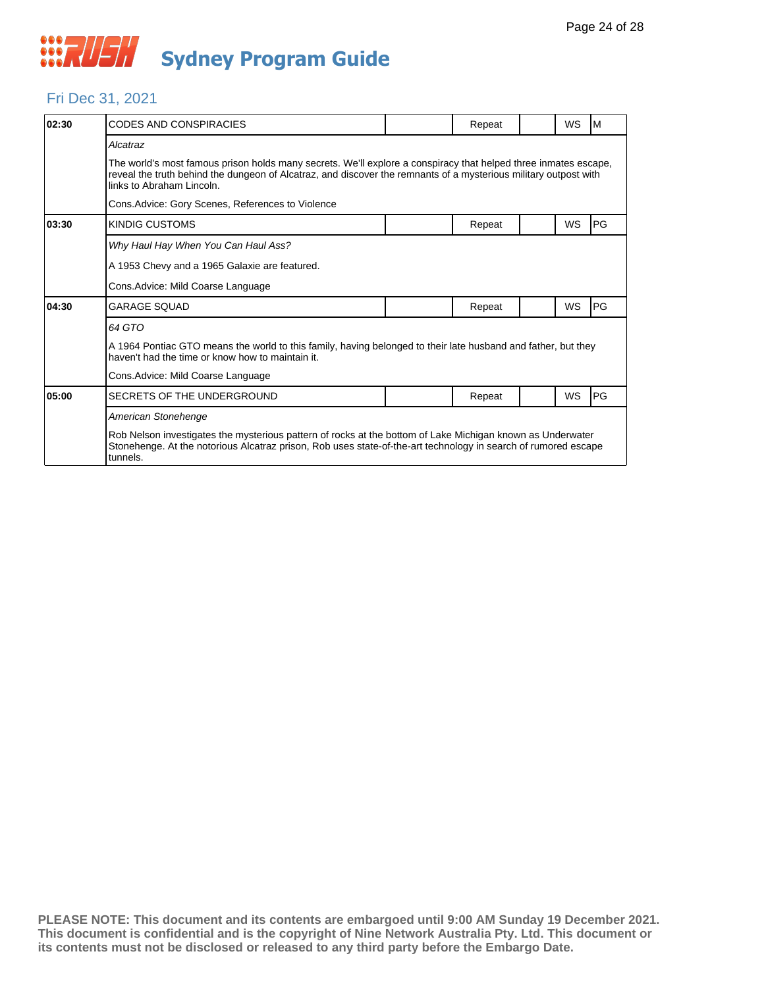

#### Fri Dec 31, 2021

| 02:30 | <b>CODES AND CONSPIRACIES</b>                                                                                                                                                                                                                                    |  | Repeat |  | WS | M  |  |  |  |
|-------|------------------------------------------------------------------------------------------------------------------------------------------------------------------------------------------------------------------------------------------------------------------|--|--------|--|----|----|--|--|--|
|       | Alcatraz                                                                                                                                                                                                                                                         |  |        |  |    |    |  |  |  |
|       | The world's most famous prison holds many secrets. We'll explore a conspiracy that helped three inmates escape,<br>reveal the truth behind the dungeon of Alcatraz, and discover the remnants of a mysterious military outpost with<br>links to Abraham Lincoln. |  |        |  |    |    |  |  |  |
|       | Cons. Advice: Gory Scenes, References to Violence                                                                                                                                                                                                                |  |        |  |    |    |  |  |  |
| 03:30 | <b>KINDIG CUSTOMS</b>                                                                                                                                                                                                                                            |  | Repeat |  | WS | PG |  |  |  |
|       | Why Haul Hay When You Can Haul Ass?                                                                                                                                                                                                                              |  |        |  |    |    |  |  |  |
|       | A 1953 Chevy and a 1965 Galaxie are featured.                                                                                                                                                                                                                    |  |        |  |    |    |  |  |  |
|       | Cons. Advice: Mild Coarse Language                                                                                                                                                                                                                               |  |        |  |    |    |  |  |  |
| 04:30 | <b>GARAGE SOUAD</b>                                                                                                                                                                                                                                              |  | Repeat |  | WS | PG |  |  |  |
|       | 64 GTO                                                                                                                                                                                                                                                           |  |        |  |    |    |  |  |  |
|       | A 1964 Pontiac GTO means the world to this family, having belonged to their late husband and father, but they<br>haven't had the time or know how to maintain it.                                                                                                |  |        |  |    |    |  |  |  |
|       | Cons. Advice: Mild Coarse Language                                                                                                                                                                                                                               |  |        |  |    |    |  |  |  |
| 05:00 | SECRETS OF THE UNDERGROUND                                                                                                                                                                                                                                       |  | Repeat |  | WS | PG |  |  |  |
|       | American Stonehenge                                                                                                                                                                                                                                              |  |        |  |    |    |  |  |  |
|       | Rob Nelson investigates the mysterious pattern of rocks at the bottom of Lake Michigan known as Underwater<br>Stonehenge. At the notorious Alcatraz prison, Rob uses state-of-the-art technology in search of rumored escape<br>tunnels.                         |  |        |  |    |    |  |  |  |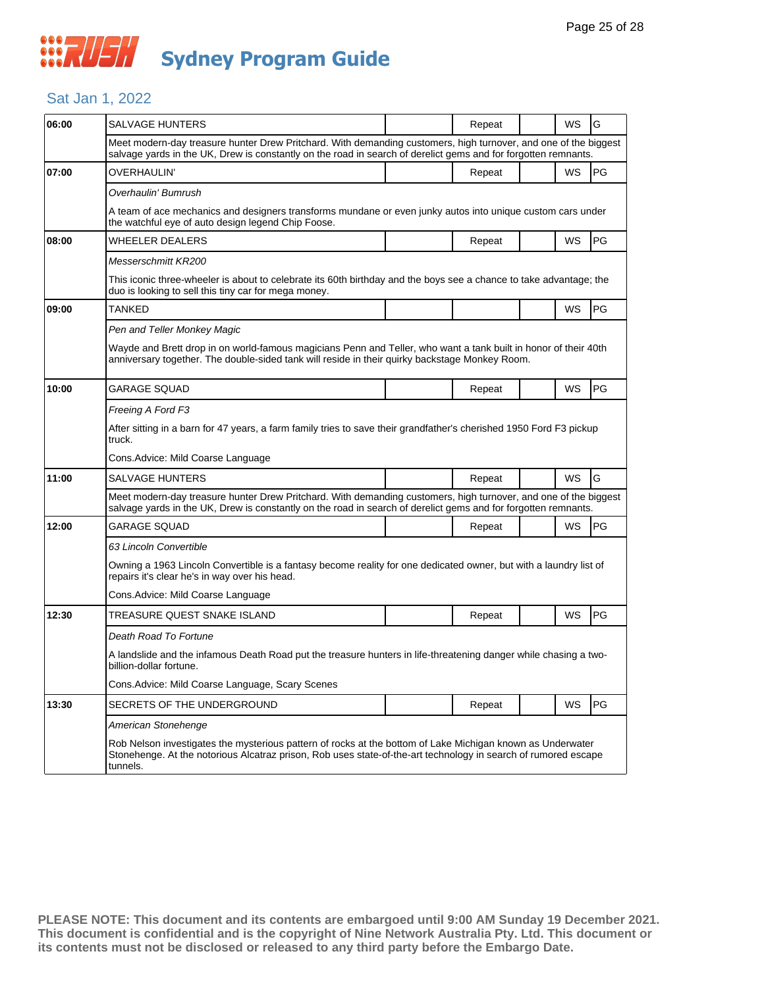## **WAUSH Sydney Program Guide**

#### Sat Jan 1, 2022

| 06:00 | SALVAGE HUNTERS                                                                                                                                                                                                                          |  | Repeat | WS        | G         |  |  |
|-------|------------------------------------------------------------------------------------------------------------------------------------------------------------------------------------------------------------------------------------------|--|--------|-----------|-----------|--|--|
|       | Meet modern-day treasure hunter Drew Pritchard. With demanding customers, high turnover, and one of the biggest<br>salvage yards in the UK, Drew is constantly on the road in search of derelict gems and for forgotten remnants.        |  |        |           |           |  |  |
| 07:00 | OVERHAULIN'                                                                                                                                                                                                                              |  | Repeat | WS        | PG        |  |  |
|       | Overhaulin' Bumrush                                                                                                                                                                                                                      |  |        |           |           |  |  |
|       | A team of ace mechanics and designers transforms mundane or even junky autos into unique custom cars under<br>the watchful eye of auto design legend Chip Foose.                                                                         |  |        |           |           |  |  |
| 08:00 | WHEELER DEALERS                                                                                                                                                                                                                          |  | Repeat | WS        | PG        |  |  |
|       | Messerschmitt KR200                                                                                                                                                                                                                      |  |        |           |           |  |  |
|       | This iconic three-wheeler is about to celebrate its 60th birthday and the boys see a chance to take advantage; the<br>duo is looking to sell this tiny car for mega money.                                                               |  |        |           |           |  |  |
| 09:00 | TANKED                                                                                                                                                                                                                                   |  |        | <b>WS</b> | <b>PG</b> |  |  |
|       | Pen and Teller Monkey Magic                                                                                                                                                                                                              |  |        |           |           |  |  |
|       | Wayde and Brett drop in on world-famous magicians Penn and Teller, who want a tank built in honor of their 40th<br>anniversary together. The double-sided tank will reside in their quirky backstage Monkey Room.                        |  |        |           |           |  |  |
| 10:00 | GARAGE SQUAD                                                                                                                                                                                                                             |  | Repeat | WS        | <b>PG</b> |  |  |
|       | Freeing A Ford F3                                                                                                                                                                                                                        |  |        |           |           |  |  |
|       | After sitting in a barn for 47 years, a farm family tries to save their grandfather's cherished 1950 Ford F3 pickup<br>truck.                                                                                                            |  |        |           |           |  |  |
|       | Cons. Advice: Mild Coarse Language                                                                                                                                                                                                       |  |        |           |           |  |  |
| 11:00 | <b>SALVAGE HUNTERS</b>                                                                                                                                                                                                                   |  | Repeat | WS        | G         |  |  |
|       | Meet modern-day treasure hunter Drew Pritchard. With demanding customers, high turnover, and one of the biggest<br>salvage yards in the UK, Drew is constantly on the road in search of derelict gems and for forgotten remnants.        |  |        |           |           |  |  |
| 12:00 | GARAGE SQUAD                                                                                                                                                                                                                             |  | Repeat | <b>WS</b> | <b>PG</b> |  |  |
|       | 63 Lincoln Convertible                                                                                                                                                                                                                   |  |        |           |           |  |  |
|       | Owning a 1963 Lincoln Convertible is a fantasy become reality for one dedicated owner, but with a laundry list of<br>repairs it's clear he's in way over his head.                                                                       |  |        |           |           |  |  |
|       | Cons.Advice: Mild Coarse Language                                                                                                                                                                                                        |  |        |           |           |  |  |
| 12:30 | TREASURE QUEST SNAKE ISLAND                                                                                                                                                                                                              |  | Repeat | WS        | <b>PG</b> |  |  |
|       | Death Road To Fortune                                                                                                                                                                                                                    |  |        |           |           |  |  |
|       | A landslide and the infamous Death Road put the treasure hunters in life-threatening danger while chasing a two-<br>billion-dollar fortune.                                                                                              |  |        |           |           |  |  |
|       | Cons. Advice: Mild Coarse Language, Scary Scenes                                                                                                                                                                                         |  |        |           |           |  |  |
| 13:30 | SECRETS OF THE UNDERGROUND                                                                                                                                                                                                               |  | Repeat | WS        | PG        |  |  |
|       | American Stonehenge                                                                                                                                                                                                                      |  |        |           |           |  |  |
|       | Rob Nelson investigates the mysterious pattern of rocks at the bottom of Lake Michigan known as Underwater<br>Stonehenge. At the notorious Alcatraz prison, Rob uses state-of-the-art technology in search of rumored escape<br>tunnels. |  |        |           |           |  |  |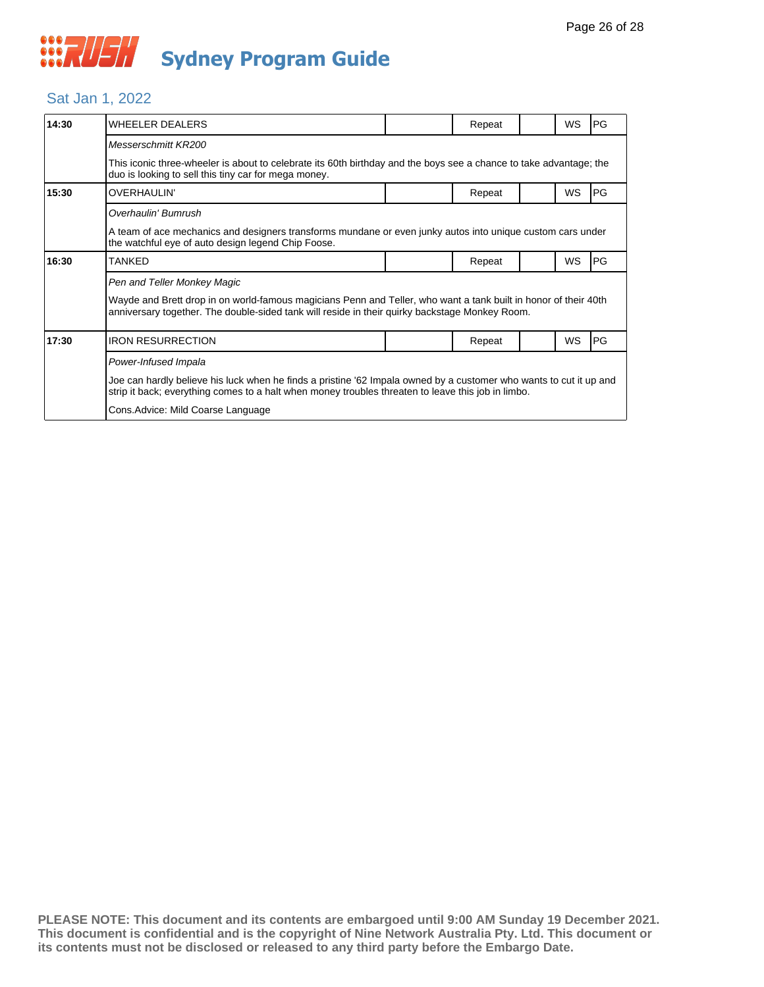#### Sat Jan 1, 2022

| 14:30 | WHEELER DEALERS                                                                                                                                                                                                          |  | Repeat |  | <b>WS</b> | PG |  |
|-------|--------------------------------------------------------------------------------------------------------------------------------------------------------------------------------------------------------------------------|--|--------|--|-----------|----|--|
|       | Messerschmitt KR200                                                                                                                                                                                                      |  |        |  |           |    |  |
|       | This iconic three-wheeler is about to celebrate its 60th birthday and the boys see a chance to take advantage; the<br>duo is looking to sell this tiny car for mega money.                                               |  |        |  |           |    |  |
| 15:30 | OVERHAULIN'                                                                                                                                                                                                              |  | Repeat |  | WS        | PG |  |
|       | Overhaulin' Bumrush                                                                                                                                                                                                      |  |        |  |           |    |  |
|       | A team of ace mechanics and designers transforms mundane or even junky autos into unique custom cars under<br>the watchful eye of auto design legend Chip Foose.                                                         |  |        |  |           |    |  |
| 16:30 | TANKED                                                                                                                                                                                                                   |  | Repeat |  | WS        | PG |  |
|       | Pen and Teller Monkey Magic                                                                                                                                                                                              |  |        |  |           |    |  |
|       | Wayde and Brett drop in on world-famous magicians Penn and Teller, who want a tank built in honor of their 40th<br>anniversary together. The double-sided tank will reside in their quirky backstage Monkey Room.        |  |        |  |           |    |  |
| 17:30 | <b>IRON RESURRECTION</b>                                                                                                                                                                                                 |  | Repeat |  | <b>WS</b> | PG |  |
|       | Power-Infused Impala                                                                                                                                                                                                     |  |        |  |           |    |  |
|       | Joe can hardly believe his luck when he finds a pristine '62 Impala owned by a customer who wants to cut it up and<br>strip it back; everything comes to a halt when money troubles threaten to leave this job in limbo. |  |        |  |           |    |  |
|       | Cons.Advice: Mild Coarse Language                                                                                                                                                                                        |  |        |  |           |    |  |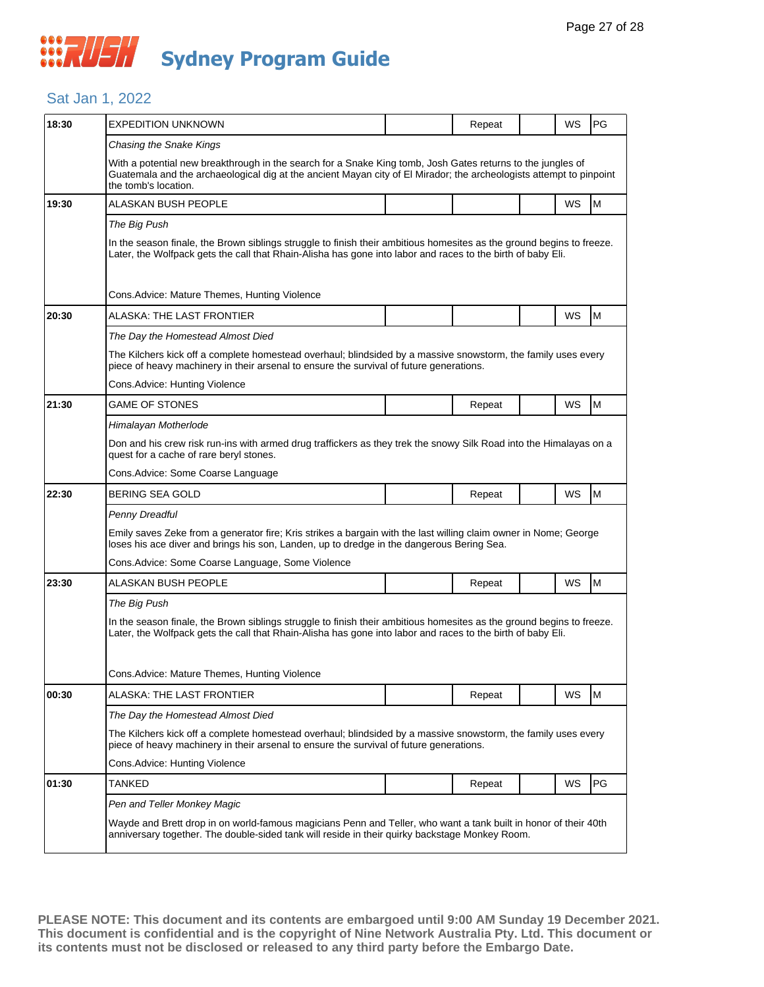#### Sat Jan 1, 2022

| 18:30 | <b>EXPEDITION UNKNOWN</b>                                                                                                                                                                                                                                  |  | Repeat |  | WS        | PG |  |  |  |
|-------|------------------------------------------------------------------------------------------------------------------------------------------------------------------------------------------------------------------------------------------------------------|--|--------|--|-----------|----|--|--|--|
|       | Chasing the Snake Kings                                                                                                                                                                                                                                    |  |        |  |           |    |  |  |  |
|       | With a potential new breakthrough in the search for a Snake King tomb, Josh Gates returns to the jungles of<br>Guatemala and the archaeological dig at the ancient Mayan city of El Mirador; the archeologists attempt to pinpoint<br>the tomb's location. |  |        |  |           |    |  |  |  |
| 19:30 | ALASKAN BUSH PEOPLE                                                                                                                                                                                                                                        |  |        |  | WS        | M  |  |  |  |
|       | The Big Push                                                                                                                                                                                                                                               |  |        |  |           |    |  |  |  |
|       | In the season finale, the Brown siblings struggle to finish their ambitious homesites as the ground begins to freeze.<br>Later, the Wolfpack gets the call that Rhain-Alisha has gone into labor and races to the birth of baby Eli.                       |  |        |  |           |    |  |  |  |
|       | Cons. Advice: Mature Themes, Hunting Violence                                                                                                                                                                                                              |  |        |  |           |    |  |  |  |
| 20:30 | ALASKA: THE LAST FRONTIER                                                                                                                                                                                                                                  |  |        |  | WS        | M  |  |  |  |
|       | The Day the Homestead Almost Died                                                                                                                                                                                                                          |  |        |  |           |    |  |  |  |
|       | The Kilchers kick off a complete homestead overhaul; blindsided by a massive snowstorm, the family uses every<br>piece of heavy machinery in their arsenal to ensure the survival of future generations.                                                   |  |        |  |           |    |  |  |  |
|       | Cons. Advice: Hunting Violence                                                                                                                                                                                                                             |  |        |  |           |    |  |  |  |
| 21:30 | <b>GAME OF STONES</b>                                                                                                                                                                                                                                      |  | Repeat |  | WS        | M  |  |  |  |
|       | Himalayan Motherlode                                                                                                                                                                                                                                       |  |        |  |           |    |  |  |  |
|       | Don and his crew risk run-ins with armed drug traffickers as they trek the snowy Silk Road into the Himalayas on a<br>quest for a cache of rare beryl stones.                                                                                              |  |        |  |           |    |  |  |  |
|       | Cons. Advice: Some Coarse Language                                                                                                                                                                                                                         |  |        |  |           |    |  |  |  |
| 22:30 | <b>BERING SEA GOLD</b>                                                                                                                                                                                                                                     |  | Repeat |  | WS        | M  |  |  |  |
|       | Penny Dreadful                                                                                                                                                                                                                                             |  |        |  |           |    |  |  |  |
|       | Emily saves Zeke from a generator fire; Kris strikes a bargain with the last willing claim owner in Nome; George<br>loses his ace diver and brings his son, Landen, up to dredge in the dangerous Bering Sea.                                              |  |        |  |           |    |  |  |  |
|       | Cons. Advice: Some Coarse Language, Some Violence                                                                                                                                                                                                          |  |        |  |           |    |  |  |  |
| 23:30 | ALASKAN BUSH PEOPLE                                                                                                                                                                                                                                        |  | Repeat |  | WS        | M  |  |  |  |
|       | The Big Push                                                                                                                                                                                                                                               |  |        |  |           |    |  |  |  |
|       | In the season finale, the Brown siblings struggle to finish their ambitious homesites as the ground begins to freeze.<br>Later, the Wolfpack gets the call that Rhain-Alisha has gone into labor and races to the birth of baby Eli.                       |  |        |  |           |    |  |  |  |
|       | Cons.Advice: Mature Themes, Hunting Violence                                                                                                                                                                                                               |  |        |  |           |    |  |  |  |
| 00:30 | ALASKA: THE LAST FRONTIER                                                                                                                                                                                                                                  |  | Repeat |  | <b>WS</b> | M  |  |  |  |
|       | The Day the Homestead Almost Died                                                                                                                                                                                                                          |  |        |  |           |    |  |  |  |
|       | The Kilchers kick off a complete homestead overhaul; blindsided by a massive snowstorm, the family uses every<br>piece of heavy machinery in their arsenal to ensure the survival of future generations.                                                   |  |        |  |           |    |  |  |  |
|       | Cons. Advice: Hunting Violence                                                                                                                                                                                                                             |  |        |  |           |    |  |  |  |
| 01:30 | <b>TANKED</b>                                                                                                                                                                                                                                              |  | Repeat |  | WS        | PG |  |  |  |
|       | Pen and Teller Monkey Magic                                                                                                                                                                                                                                |  |        |  |           |    |  |  |  |
|       | Wayde and Brett drop in on world-famous magicians Penn and Teller, who want a tank built in honor of their 40th<br>anniversary together. The double-sided tank will reside in their quirky backstage Monkey Room.                                          |  |        |  |           |    |  |  |  |